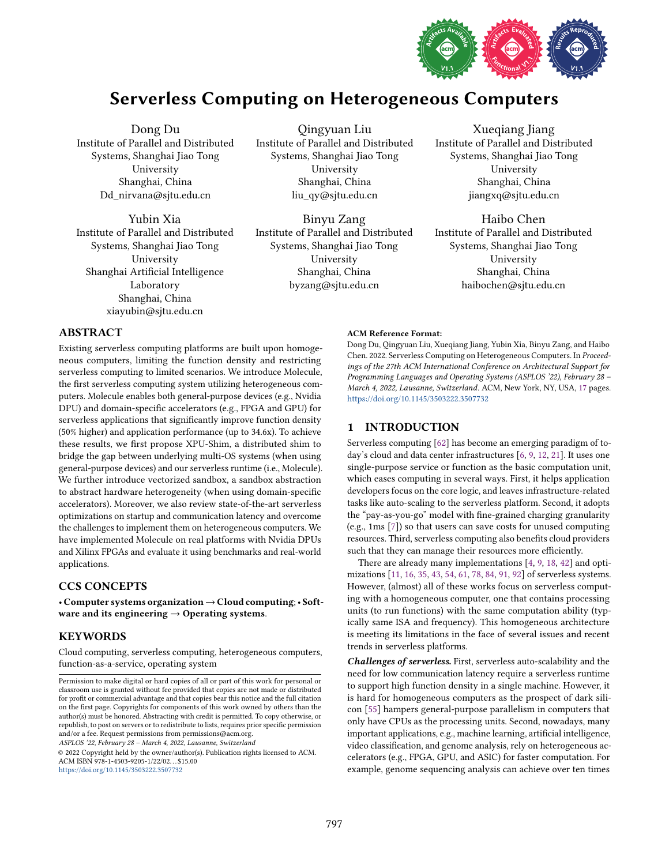

# Serverless Computing on Heterogeneous Computers

Dong Du Institute of Parallel and Distributed Systems, Shanghai Jiao Tong University Shanghai, China Dd\_nirvana@sjtu.edu.cn

Yubin Xia Institute of Parallel and Distributed Systems, Shanghai Jiao Tong University Shanghai Artificial Intelligence Laboratory Shanghai, China xiayubin@sjtu.edu.cn

Qingyuan Liu Institute of Parallel and Distributed Systems, Shanghai Jiao Tong University Shanghai, China liu\_qy@sjtu.edu.cn

Binyu Zang Institute of Parallel and Distributed Systems, Shanghai Jiao Tong University Shanghai, China byzang@sjtu.edu.cn

Xueqiang Jiang Institute of Parallel and Distributed Systems, Shanghai Jiao Tong University Shanghai, China jiangxq@sjtu.edu.cn

Haibo Chen Institute of Parallel and Distributed Systems, Shanghai Jiao Tong University Shanghai, China haibochen@sjtu.edu.cn

# ABSTRACT

Existing serverless computing platforms are built upon homogeneous computers, limiting the function density and restricting serverless computing to limited scenarios. We introduce Molecule, the first serverless computing system utilizing heterogeneous computers. Molecule enables both general-purpose devices (e.g., Nvidia DPU) and domain-specific accelerators (e.g., FPGA and GPU) for serverless applications that significantly improve function density (50% higher) and application performance (up to 34.6x). To achieve these results, we first propose XPU-Shim, a distributed shim to bridge the gap between underlying multi-OS systems (when using general-purpose devices) and our serverless runtime (i.e., Molecule). We further introduce vectorized sandbox, a sandbox abstraction to abstract hardware heterogeneity (when using domain-specific accelerators). Moreover, we also review state-of-the-art serverless optimizations on startup and communication latency and overcome the challenges to implement them on heterogeneous computers. We have implemented Molecule on real platforms with Nvidia DPUs and Xilinx FPGAs and evaluate it using benchmarks and real-world applications.

## CCS CONCEPTS

· Computer systems organization→Cloud computing;· Software and its engineering  $\rightarrow$  Operating systems.

## **KEYWORDS**

Cloud computing, serverless computing, heterogeneous computers, function-as-a-service, operating system

ASPLOS '22, February 28 - March 4, 2022, Lausanne, Switzerland

© 2022 Copyright held by the owner/author(s). Publication rights licensed to ACM. ACM ISBN 978-1-4503-9205-1/22/02. . . \$15.00 <https://doi.org/10.1145/3503222.3507732>

#### ACM Reference Format:

Dong Du, Qingyuan Liu, Xueqiang Jiang, Yubin Xia, Binyu Zang, and Haibo Chen. 2022. Serverless Computing on Heterogeneous Computers. In Proceedings of the 27th ACM International Conference on Architectural Support for Programming Languages and Operating Systems (ASPLOS '22), February 28 -March 4, 2022, Lausanne, Switzerland. ACM, New York, NY, USA, [17](#page-16-0) pages. <https://doi.org/10.1145/3503222.3507732>

# 1 INTRODUCTION

Serverless computing [\[62\]](#page-15-0) has become an emerging paradigm of today's cloud and data center infrastructures [\[6,](#page-14-0) [9,](#page-14-1) [12,](#page-14-2) [21\]](#page-14-3). It uses one single-purpose service or function as the basic computation unit, which eases computing in several ways. First, it helps application developers focus on the core logic, and leaves infrastructure-related tasks like auto-scaling to the serverless platform. Second, it adopts the "pay-as-you-go" model with fine-grained charging granularity (e.g., 1ms [\[7\]](#page-14-4)) so that users can save costs for unused computing resources. Third, serverless computing also benefits cloud providers such that they can manage their resources more efficiently.

There are already many implementations [\[4,](#page-14-5) [9,](#page-14-1) [18,](#page-14-6) [42\]](#page-15-1) and optimizations [\[11,](#page-14-7) [16,](#page-14-8) [35,](#page-15-2) [43,](#page-15-3) [54,](#page-15-4) [61,](#page-15-5) [78,](#page-16-1) [84,](#page-16-2) [91,](#page-16-3) [92\]](#page-16-4) of serverless systems. However, (almost) all of these works focus on serverless computing with a homogeneous computer, one that contains processing units (to run functions) with the same computation ability (typically same ISA and frequency). This homogeneous architecture is meeting its limitations in the face of several issues and recent trends in serverless platforms.

Challenges of serverless. First, serverless auto-scalability and the need for low communication latency require a serverless runtime to support high function density in a single machine. However, it is hard for homogeneous computers as the prospect of dark silicon [\[55\]](#page-15-6) hampers general-purpose parallelism in computers that only have CPUs as the processing units. Second, nowadays, many important applications, e.g., machine learning, artificial intelligence, video classification, and genome analysis, rely on heterogeneous accelerators (e.g., FPGA, GPU, and ASIC) for faster computation. For example, genome sequencing analysis can achieve over ten times

Permission to make digital or hard copies of all or part of this work for personal or classroom use is granted without fee provided that copies are not made or distributed for profit or commercial advantage and that copies bear this notice and the full citation on the first page. Copyrights for components of this work owned by others than the author(s) must be honored. Abstracting with credit is permitted. To copy otherwise, or republish, to post on servers or to redistribute to lists, requires prior specific permission and/or a fee. Request permissions from permissions@acm.org.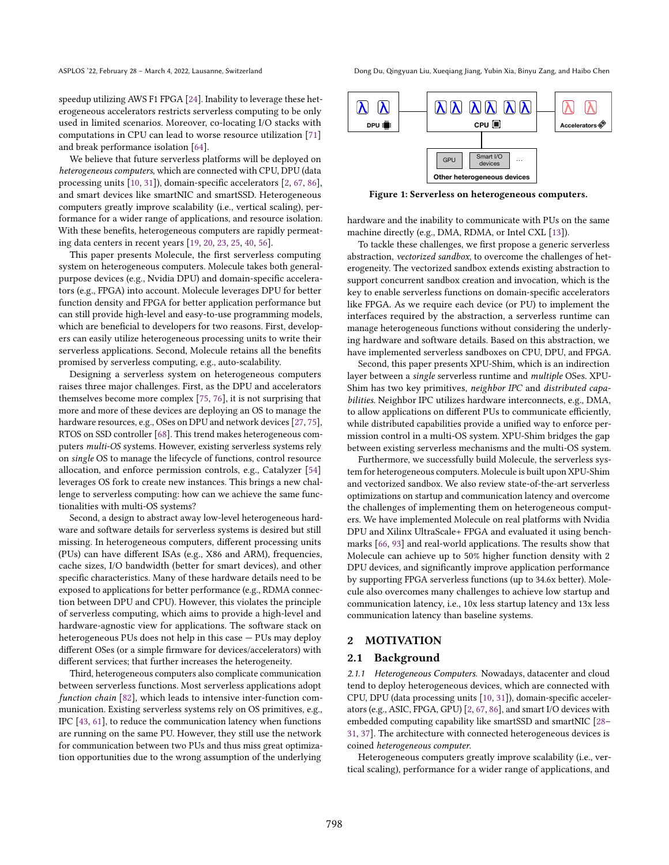We believe that future serverless platforms will be deployed on heterogeneous computers, which are connected with CPU, DPU (data processing units [\[10,](#page-14-10) [31\]](#page-14-11)), domain-specific accelerators [\[2,](#page-14-12) [67,](#page-15-8) [86\]](#page-16-6), and smart devices like smartNIC and smartSSD. Heterogeneous computers greatly improve scalability (i.e., vertical scaling), performance for a wider range of applications, and resource isolation. With these benefits, heterogeneous computers are rapidly permeating data centers in recent years [\[19,](#page-14-13) [20,](#page-14-14) [23,](#page-14-15) [25,](#page-14-16) [40,](#page-15-9) [56\]](#page-15-10).

This paper presents Molecule, the first serverless computing system on heterogeneous computers. Molecule takes both generalpurpose devices (e.g., Nvidia DPU) and domain-specific accelerators (e.g., FPGA) into account. Molecule leverages DPU for better function density and FPGA for better application performance but can still provide high-level and easy-to-use programming models, which are beneficial to developers for two reasons. First, developers can easily utilize heterogeneous processing units to write their serverless applications. Second, Molecule retains all the benefits promised by serverless computing, e.g., auto-scalability.

Designing a serverless system on heterogeneous computers raises three major challenges. First, as the DPU and accelerators themselves become more complex [\[75,](#page-16-7) [76\]](#page-16-8), it is not surprising that more and more of these devices are deploying an OS to manage the hardware resources, e.g., OSes on DPU and network devices [\[27,](#page-14-17) [75\]](#page-16-7), RTOS on SSD controller [\[68\]](#page-15-11). This trend makes heterogeneous computers multi-OS systems. However, existing serverless systems rely on single OS to manage the lifecycle of functions, control resource allocation, and enforce permission controls, e.g., Catalyzer [\[54\]](#page-15-4) leverages OS fork to create new instances. This brings a new challenge to serverless computing: how can we achieve the same functionalities with multi-OS systems?

Second, a design to abstract away low-level heterogeneous hardware and software details for serverless systems is desired but still missing. In heterogeneous computers, different processing units (PUs) can have different ISAs (e.g., X86 and ARM), frequencies, cache sizes, I/O bandwidth (better for smart devices), and other specific characteristics. Many of these hardware details need to be exposed to applications for better performance (e.g., RDMA connection between DPU and CPU). However, this violates the principle of serverless computing, which aims to provide a high-level and hardware-agnostic view for applications. The software stack on heterogeneous PUs does not help in this case  $-$  PUs may deploy different OSes (or a simple firmware for devices/accelerators) with different services; that further increases the heterogeneity.

Third, heterogeneous computers also complicate communication between serverless functions. Most serverless applications adopt function chain [\[82\]](#page-16-9), which leads to intensive inter-function communication. Existing serverless systems rely on OS primitives, e.g., IPC [\[43,](#page-15-3) [61\]](#page-15-5), to reduce the communication latency when functions are running on the same PU. However, they still use the network for communication between two PUs and thus miss great optimization opportunities due to the wrong assumption of the underlying

ASPLOS '22, February 28 – March 4, 2022, Lausanne, Switzerland Dong Du, Qingyuan Liu, Xueqiang Jiang, Yubin Xia, Binyu Zang, and Haibo Chen

<span id="page-1-0"></span>

Figure 1: Serverless on heterogeneous computers.

hardware and the inability to communicate with PUs on the same machine directly (e.g., DMA, RDMA, or Intel CXL [\[13\]](#page-14-18)).

To tackle these challenges, we first propose a generic serverless abstraction, vectorized sandbox, to overcome the challenges of heterogeneity. The vectorized sandbox extends existing abstraction to support concurrent sandbox creation and invocation, which is the key to enable serverless functions on domain-specific accelerators like FPGA. As we require each device (or PU) to implement the interfaces required by the abstraction, a serverless runtime can manage heterogeneous functions without considering the underlying hardware and software details. Based on this abstraction, we have implemented serverless sandboxes on CPU, DPU, and FPGA.

Second, this paper presents XPU-Shim, which is an indirection layer between a single serverless runtime and multiple OSes. XPU-Shim has two key primitives, neighbor IPC and distributed capabilities. Neighbor IPC utilizes hardware interconnects, e.g., DMA, to allow applications on different PUs to communicate efficiently, while distributed capabilities provide a unified way to enforce permission control in a multi-OS system. XPU-Shim bridges the gap between existing serverless mechanisms and the multi-OS system.

Furthermore, we successfully build Molecule, the serverless system for heterogeneous computers. Molecule is built upon XPU-Shim and vectorized sandbox. We also review state-of-the-art serverless optimizations on startup and communication latency and overcome the challenges of implementing them on heterogeneous computers. We have implemented Molecule on real platforms with Nvidia DPU and Xilinx UltraScale+ FPGA and evaluated it using benchmarks [\[66,](#page-15-12) [93\]](#page-16-10) and real-world applications. The results show that Molecule can achieve up to 50% higher function density with 2 DPU devices, and significantly improve application performance by supporting FPGA serverless functions (up to 34.6x better). Molecule also overcomes many challenges to achieve low startup and communication latency, i.e., 10x less startup latency and 13x less communication latency than baseline systems.

## 2 MOTIVATION

## 2.1 Background

2.1.1 Heterogeneous Computers. Nowadays, datacenter and cloud tend to deploy heterogeneous devices, which are connected with CPU, DPU (data processing units [\[10,](#page-14-10) [31\]](#page-14-11)), domain-specific accelerators (e.g., ASIC, FPGA, GPU) [\[2,](#page-14-12) [67,](#page-15-8) [86\]](#page-16-6), and smart I/O devices with embedded computing capability like smartSSD and smartNIC [28-[31,](#page-14-11) [37\]](#page-15-13). The architecture with connected heterogeneous devices is coined heterogeneous computer.

Heterogeneous computers greatly improve scalability (i.e., vertical scaling), performance for a wider range of applications, and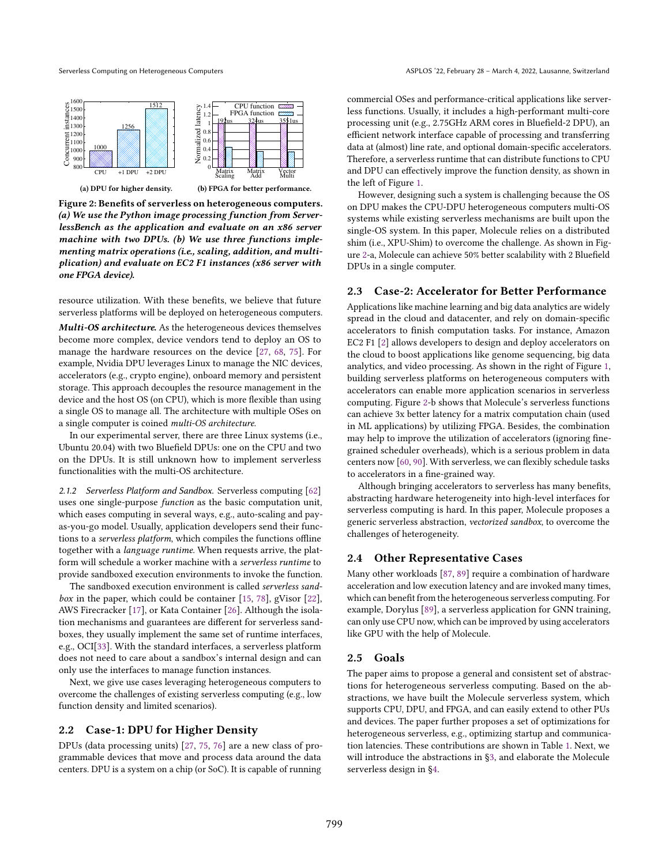<span id="page-2-0"></span>

Figure 2: Benefits of serverless on heterogeneous computers. (a) We use the Python image processing function from ServerlessBench as the application and evaluate on an x86 server machine with two DPUs. (b) We use three functions implementing matrix operations (i.e., scaling, addition, and multiplication) and evaluate on EC2 F1 instances (x86 server with one FPGA device).

resource utilization. With these benefits, we believe that future serverless platforms will be deployed on heterogeneous computers.

Multi-OS architecture. As the heterogeneous devices themselves become more complex, device vendors tend to deploy an OS to manage the hardware resources on the device [\[27,](#page-14-17) [68,](#page-15-11) [75\]](#page-16-7). For example, Nvidia DPU leverages Linux to manage the NIC devices, accelerators (e.g., crypto engine), onboard memory and persistent storage. This approach decouples the resource management in the device and the host OS (on CPU), which is more flexible than using a single OS to manage all. The architecture with multiple OSes on a single computer is coined multi-OS architecture.

In our experimental server, there are three Linux systems (i.e., Ubuntu 20.04) with two Bluefield DPUs: one on the CPU and two on the DPUs. It is still unknown how to implement serverless functionalities with the multi-OS architecture.

2.1.2 Serverless Platform and Sandbox. Serverless computing [\[62\]](#page-15-0) uses one single-purpose function as the basic computation unit, which eases computing in several ways, e.g., auto-scaling and payas-you-go model. Usually, application developers send their functions to a serverless platform, which compiles the functions offline together with a language runtime. When requests arrive, the platform will schedule a worker machine with a serverless runtime to provide sandboxed execution environments to invoke the function.

The sandboxed execution environment is called serverless sandbox in the paper, which could be container [\[15,](#page-14-20) [78\]](#page-16-1), gVisor [\[22\]](#page-14-21), AWS Firecracker [\[17\]](#page-14-22), or Kata Container [\[26\]](#page-14-23). Although the isolation mechanisms and guarantees are different for serverless sandboxes, they usually implement the same set of runtime interfaces, e.g., OCI[\[33\]](#page-14-24). With the standard interfaces, a serverless platform does not need to care about a sandbox's internal design and can only use the interfaces to manage function instances.

Next, we give use cases leveraging heterogeneous computers to overcome the challenges of existing serverless computing (e.g., low function density and limited scenarios).

## 2.2 Case-1: DPU for Higher Density

DPUs (data processing units) [\[27,](#page-14-17) [75,](#page-16-7) [76\]](#page-16-8) are a new class of programmable devices that move and process data around the data centers. DPU is a system on a chip (or SoC). It is capable of running

commercial OSes and performance-critical applications like serverless functions. Usually, it includes a high-performant multi-core processing unit (e.g., 2.75GHz ARM cores in Bluefield-2 DPU), an efficient network interface capable of processing and transferring data at (almost) line rate, and optional domain-specific accelerators. Therefore, a serverless runtime that can distribute functions to CPU and DPU can effectively improve the function density, as shown in the left of Figure [1.](#page-1-0)

However, designing such a system is challenging because the OS on DPU makes the CPU-DPU heterogeneous computers multi-OS systems while existing serverless mechanisms are built upon the single-OS system. In this paper, Molecule relies on a distributed shim (i.e., XPU-Shim) to overcome the challenge. As shown in Figure [2-](#page-2-0)a, Molecule can achieve 50% better scalability with 2 Bluefield DPUs in a single computer.

## 2.3 Case-2: Accelerator for Better Performance

Applications like machine learning and big data analytics are widely spread in the cloud and datacenter, and rely on domain-specific accelerators to finish computation tasks. For instance, Amazon EC2 F1 [\[2\]](#page-14-12) allows developers to design and deploy accelerators on the cloud to boost applications like genome sequencing, big data analytics, and video processing. As shown in the right of Figure [1,](#page-1-0) building serverless platforms on heterogeneous computers with accelerators can enable more application scenarios in serverless computing. Figure [2-](#page-2-0)b shows that Molecule's serverless functions can achieve 3x better latency for a matrix computation chain (used in ML applications) by utilizing FPGA. Besides, the combination may help to improve the utilization of accelerators (ignoring finegrained scheduler overheads), which is a serious problem in data centers now [\[60,](#page-15-14) [90\]](#page-16-11). With serverless, we can flexibly schedule tasks to accelerators in a fine-grained way.

Although bringing accelerators to serverless has many benefits, abstracting hardware heterogeneity into high-level interfaces for serverless computing is hard. In this paper, Molecule proposes a generic serverless abstraction, vectorized sandbox, to overcome the challenges of heterogeneity.

#### 2.4 Other Representative Cases

Many other workloads [\[87,](#page-16-12) [89\]](#page-16-13) require a combination of hardware acceleration and low execution latency and are invoked many times, which can benefit from the heterogeneous serverless computing. For example, Dorylus [\[89\]](#page-16-13), a serverless application for GNN training, can only use CPU now, which can be improved by using accelerators like GPU with the help of Molecule.

#### 2.5 Goals

The paper aims to propose a general and consistent set of abstractions for heterogeneous serverless computing. Based on the abstractions, we have built the Molecule serverless system, which supports CPU, DPU, and FPGA, and can easily extend to other PUs and devices. The paper further proposes a set of optimizations for heterogeneous serverless, e.g., optimizing startup and communication latencies. These contributions are shown in Table [1.](#page-3-0) Next, we will introduce the abstractions in [ğ3,](#page-3-1) and elaborate the Molecule serverless design in [ğ4.](#page-5-0)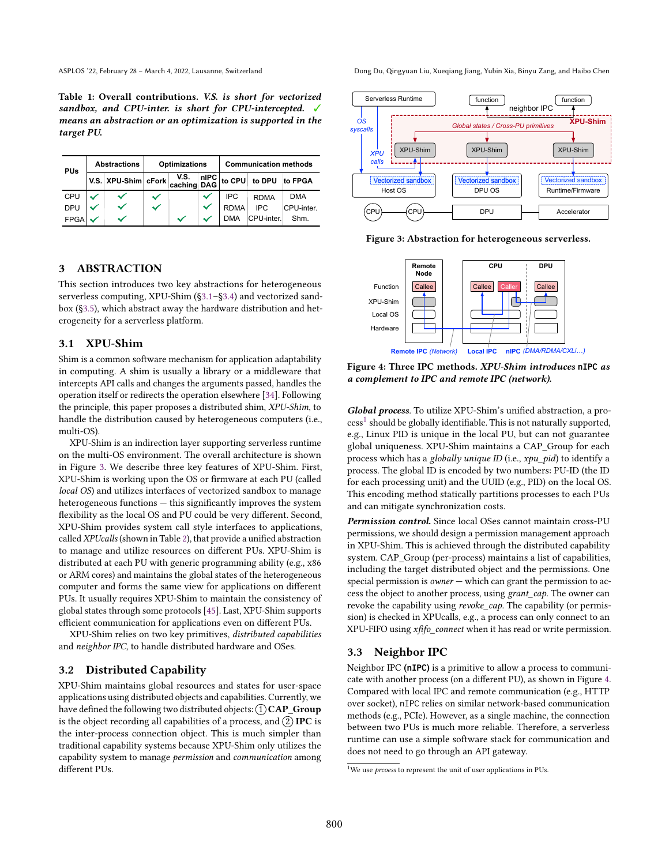<span id="page-3-0"></span>Table 1: Overall contributions. V.S. is short for vectorized sandbox, and CPU-inter. is short for CPU-intercepted. √ means an abstraction or an optimization is supported in the target PU.

| <b>PUs</b>  | <b>Abstractions</b> |                                                                                    | <b>Optimizations</b> |   | <b>Communication methods</b> |             |             |            |
|-------------|---------------------|------------------------------------------------------------------------------------|----------------------|---|------------------------------|-------------|-------------|------------|
|             |                     | V.S. $x$ PU-Shim cFork $\begin{vmatrix} V.S. \ caching \ DAG \end{vmatrix}$ to CPU |                      |   |                              |             | to DPU      | to FPGA    |
| <b>CPU</b>  |                     |                                                                                    |                      |   |                              | IPC.        | <b>RDMA</b> | <b>DMA</b> |
| <b>DPU</b>  |                     |                                                                                    |                      |   | $\checkmark$                 | <b>RDMA</b> | IPC.        | CPU-inter. |
| <b>FPGA</b> |                     |                                                                                    |                      | ∾ |                              | <b>DMA</b>  | CPU-inter.  | Shm.       |

# <span id="page-3-1"></span>3 ABSTRACTION

This section introduces two key abstractions for heterogeneous serverless computing, XPU-Shim  $(\S3.1-\S3.4)$  and vectorized sandbox ([ğ3.5\)](#page-4-1), which abstract away the hardware distribution and heterogeneity for a serverless platform.

#### <span id="page-3-2"></span>3.1 XPU-Shim

Shim is a common software mechanism for application adaptability in computing. A shim is usually a library or a middleware that intercepts API calls and changes the arguments passed, handles the operation itself or redirects the operation elsewhere [\[34\]](#page-15-15). Following the principle, this paper proposes a distributed shim, XPU-Shim, to handle the distribution caused by heterogeneous computers (i.e., multi-OS).

XPU-Shim is an indirection layer supporting serverless runtime on the multi-OS environment. The overall architecture is shown in Figure [3.](#page-3-3) We describe three key features of XPU-Shim. First, XPU-Shim is working upon the OS or firmware at each PU (called local OS) and utilizes interfaces of vectorized sandbox to manage  $heterogeneous functions - this significantly improves the system$ flexibility as the local OS and PU could be very different. Second, XPU-Shim provides system call style interfaces to applications, called XPUcalls (shown in Table [2\)](#page-4-2), that provide a unified abstraction to manage and utilize resources on different PUs. XPU-Shim is distributed at each PU with generic programming ability (e.g., x86 or ARM cores) and maintains the global states of the heterogeneous computer and forms the same view for applications on different PUs. It usually requires XPU-Shim to maintain the consistency of global states through some protocols [\[45\]](#page-15-16). Last, XPU-Shim supports efficient communication for applications even on different PUs.

XPU-Shim relies on two key primitives, distributed capabilities and neighbor IPC, to handle distributed hardware and OSes.

#### 3.2 Distributed Capability

XPU-Shim maintains global resources and states for user-space applications using distributed objects and capabilities. Currently, we have defined the following two distributed objects:  $(1)$  CAP\_Group is the object recording all capabilities of a process, and  $(2)$  IPC is the inter-process connection object. This is much simpler than traditional capability systems because XPU-Shim only utilizes the capability system to manage permission and communication among different PUs.

ASPLOS '22, February 28 – March 4, 2022, Lausanne, Switzerland Dong Du, Qingyuan Liu, Xueqiang Jiang, Yubin Xia, Binyu Zang, and Haibo Chen

<span id="page-3-3"></span>

Figure 3: Abstraction for heterogeneous serverless.

<span id="page-3-5"></span>

Figure 4: Three IPC methods. XPU-Shim introduces **nIPC** as a complement to IPC and remote IPC (network).

Global process. To utilize XPU-Shim's unified abstraction, a pro-cess<sup>[1](#page-3-4)</sup> should be globally identifiable. This is not naturally supported, e.g., Linux PID is unique in the local PU, but can not guarantee global uniqueness. XPU-Shim maintains a CAP\_Group for each process which has a globally unique ID (i.e., xpu\_pid) to identify a process. The global ID is encoded by two numbers: PU-ID (the ID for each processing unit) and the UUID (e.g., PID) on the local OS. This encoding method statically partitions processes to each PUs and can mitigate synchronization costs.

Permission control. Since local OSes cannot maintain cross-PU permissions, we should design a permission management approach in XPU-Shim. This is achieved through the distributed capability system. CAP\_Group (per-process) maintains a list of capabilities, including the target distributed object and the permissions. One special permission is  $owner$  – which can grant the permission to access the object to another process, using grant\_cap. The owner can revoke the capability using *revoke cap*. The capability (or permission) is checked in XPUcalls, e.g., a process can only connect to an XPU-FIFO using xfifo\_connect when it has read or write permission.

#### 3.3 Neighbor IPC

Neighbor IPC (**nIPC**) is a primitive to allow a process to communicate with another process (on a different PU), as shown in Figure [4.](#page-3-5) Compared with local IPC and remote communication (e.g., HTTP over socket), nIPC relies on similar network-based communication methods (e.g., PCIe). However, as a single machine, the connection between two PUs is much more reliable. Therefore, a serverless runtime can use a simple software stack for communication and does not need to go through an API gateway.

<span id="page-3-4"></span><sup>&</sup>lt;sup>1</sup>We use *prcoess* to represent the unit of user applications in PUs.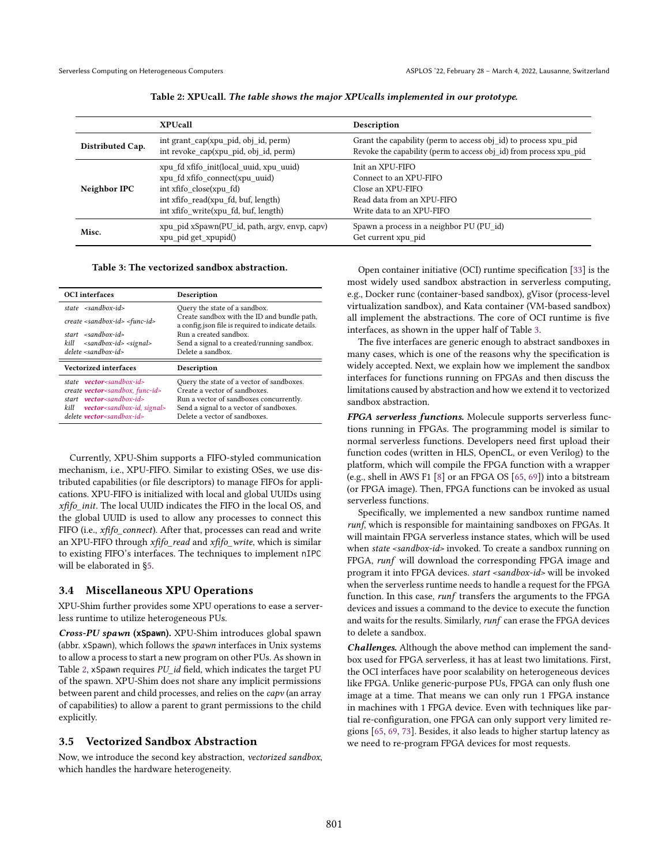<span id="page-4-2"></span>

|                  | <b>XPUcall</b>                                                                                                                                                                      | Description                                                                                                                           |
|------------------|-------------------------------------------------------------------------------------------------------------------------------------------------------------------------------------|---------------------------------------------------------------------------------------------------------------------------------------|
| Distributed Cap. | int grant_cap(xpu_pid, obj_id, perm)<br>int revoke cap(xpu pid, obj id, perm)                                                                                                       | Grant the capability (perm to access obj id) to process xpu pid<br>Revoke the capability (perm to access obj id) from process xpu pid |
| Neighbor IPC     | xpu fd xfifo init(local uuid, xpu uuid)<br>xpu fd xfifo connect(xpu uuid)<br>int xfifo close(xpu fd)<br>int xfifo read(xpu fd, buf, length)<br>int xfifo write(xpu fd, buf, length) | Init an XPU-FIFO<br>Connect to an XPU-FIFO<br>Close an XPU-FIFO<br>Read data from an XPU-FIFO<br>Write data to an XPU-FIFO            |
| Misc.            | xpu_pid xSpawn(PU_id, path, argv, envp, capv)<br>xpu_pid get_xpupid()                                                                                                               | Spawn a process in a neighbor PU (PU id)<br>Get current xpu pid                                                                       |

Table 2: XPUcall. The table shows the major XPUcalls implemented in our prototype.

#### Table 3: The vectorized sandbox abstraction.

<span id="page-4-3"></span>

| <b>OCI</b> interfaces                                                                                                                            | Description                                                                                                           |
|--------------------------------------------------------------------------------------------------------------------------------------------------|-----------------------------------------------------------------------------------------------------------------------|
| state $\leq$ sandbox-id>                                                                                                                         | Query the state of a sandbox.                                                                                         |
| $create sandbox-id < func-id$                                                                                                                    | Create sandbox with the ID and bundle path,<br>a config.json file is required to indicate details.                    |
| start $\leq$ sandbox-id>                                                                                                                         | Run a created sandbox.                                                                                                |
| -sandbox-id> -signal><br>kill                                                                                                                    | Send a signal to a created/running sandbox.                                                                           |
| $delete small box-id$                                                                                                                            | Delete a sandbox.                                                                                                     |
|                                                                                                                                                  |                                                                                                                       |
| <b>Vectorized interfaces</b>                                                                                                                     | Description                                                                                                           |
| state <b>vector</b> <sandbox-id><br/>create <b>vector</b><sandbox, func-id=""><br/>start vector<sandbox-id></sandbox-id></sandbox,></sandbox-id> | Query the state of a vector of sandboxes.<br>Create a vector of sandboxes.<br>Run a vector of sandboxes concurrently. |

Currently, XPU-Shim supports a FIFO-styled communication mechanism, i.e., XPU-FIFO. Similar to existing OSes, we use distributed capabilities (or file descriptors) to manage FIFOs for applications. XPU-FIFO is initialized with local and global UUIDs using xfifo\_init. The local UUID indicates the FIFO in the local OS, and the global UUID is used to allow any processes to connect this FIFO (i.e., *xfifo connect*). After that, processes can read and write an XPU-FIFO through xfifo\_read and xfifo\_write, which is similar to existing FIFO's interfaces. The techniques to implement nIPC will be elaborated in [ğ5.](#page-7-0)

#### <span id="page-4-0"></span>3.4 Miscellaneous XPU Operations

XPU-Shim further provides some XPU operations to ease a serverless runtime to utilize heterogeneous PUs.

Cross-PU spawn (**xSpawn**). XPU-Shim introduces global spawn (abbr. xSpawn), which follows the spawn interfaces in Unix systems to allow a process to start a new program on other PUs. As shown in Table [2,](#page-4-2) xSpawn requires PU id field, which indicates the target PU of the spawn. XPU-Shim does not share any implicit permissions between parent and child processes, and relies on the capv (an array of capabilities) to allow a parent to grant permissions to the child explicitly.

#### <span id="page-4-1"></span>3.5 Vectorized Sandbox Abstraction

Now, we introduce the second key abstraction, vectorized sandbox, which handles the hardware heterogeneity.

Open container initiative (OCI) runtime specification [\[33\]](#page-14-24) is the most widely used sandbox abstraction in serverless computing, e.g., Docker runc (container-based sandbox), gVisor (process-level virtualization sandbox), and Kata container (VM-based sandbox) all implement the abstractions. The core of OCI runtime is five interfaces, as shown in the upper half of Table [3.](#page-4-3)

The five interfaces are generic enough to abstract sandboxes in many cases, which is one of the reasons why the specification is widely accepted. Next, we explain how we implement the sandbox interfaces for functions running on FPGAs and then discuss the limitations caused by abstraction and how we extend it to vectorized sandbox abstraction.

FPGA serverless functions. Molecule supports serverless functions running in FPGAs. The programming model is similar to normal serverless functions. Developers need first upload their function codes (written in HLS, OpenCL, or even Verilog) to the platform, which will compile the FPGA function with a wrapper (e.g., shell in AWS F1 [\[8\]](#page-14-25) or an FPGA OS [\[65,](#page-15-17) [69\]](#page-16-14)) into a bitstream (or FPGA image). Then, FPGA functions can be invoked as usual serverless functions.

Specifically, we implemented a new sandbox runtime named runf, which is responsible for maintaining sandboxes on FPGAs. It will maintain FPGA serverless instance states, which will be used when state <sandbox-id> invoked. To create a sandbox running on FPGA, runf will download the corresponding FPGA image and program it into FPGA devices. start <sandbox-id> will be invoked when the serverless runtime needs to handle a request for the FPGA function. In this case, runf transfers the arguments to the FPGA devices and issues a command to the device to execute the function and waits for the results. Similarly, runf can erase the FPGA devices to delete a sandbox.

Challenges. Although the above method can implement the sandbox used for FPGA serverless, it has at least two limitations. First, the OCI interfaces have poor scalability on heterogeneous devices like FPGA. Unlike generic-purpose PUs, FPGA can only flush one image at a time. That means we can only run 1 FPGA instance in machines with 1 FPGA device. Even with techniques like partial re-configuration, one FPGA can only support very limited regions [\[65,](#page-15-17) [69,](#page-16-14) [73\]](#page-16-15). Besides, it also leads to higher startup latency as we need to re-program FPGA devices for most requests.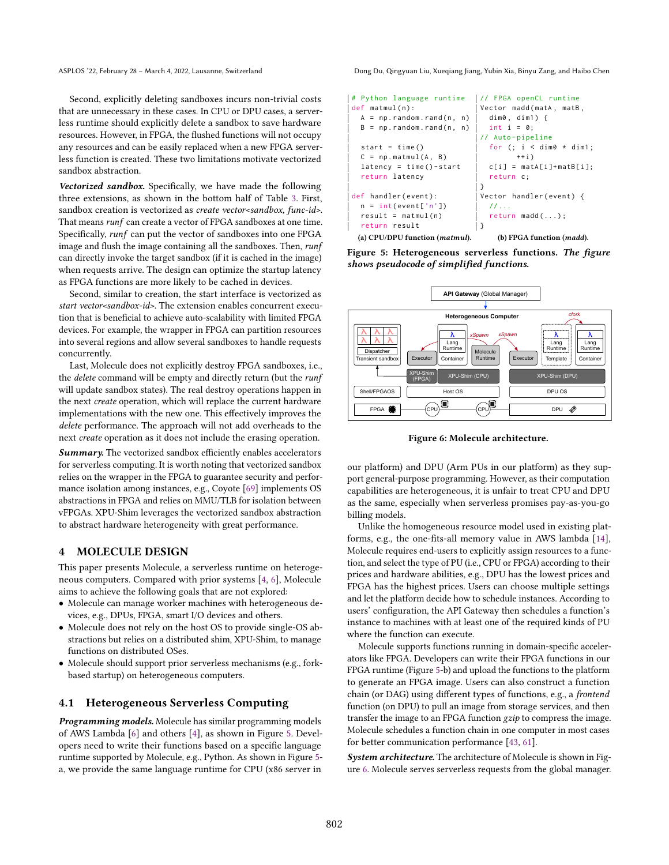Second, explicitly deleting sandboxes incurs non-trivial costs that are unnecessary in these cases. In CPU or DPU cases, a serverless runtime should explicitly delete a sandbox to save hardware resources. However, in FPGA, the flushed functions will not occupy any resources and can be easily replaced when a new FPGA serverless function is created. These two limitations motivate vectorized sandbox abstraction.

Vectorized sandbox. Specifically, we have made the following three extensions, as shown in the bottom half of Table [3.](#page-4-3) First, sandbox creation is vectorized as *create vector<sandbox*, func-id>. That means runf can create a vector of FPGA sandboxes at one time. Specifically, runf can put the vector of sandboxes into one FPGA image and flush the image containing all the sandboxes. Then, runf can directly invoke the target sandbox (if it is cached in the image) when requests arrive. The design can optimize the startup latency as FPGA functions are more likely to be cached in devices.

Second, similar to creation, the start interface is vectorized as start vector<sandbox-id>. The extension enables concurrent execution that is beneficial to achieve auto-scalability with limited FPGA devices. For example, the wrapper in FPGA can partition resources into several regions and allow several sandboxes to handle requests concurrently.

Last, Molecule does not explicitly destroy FPGA sandboxes, i.e., the delete command will be empty and directly return (but the runf will update sandbox states). The real destroy operations happen in the next create operation, which will replace the current hardware implementations with the new one. This effectively improves the delete performance. The approach will not add overheads to the next create operation as it does not include the erasing operation.

**Summary.** The vectorized sandbox efficiently enables accelerators for serverless computing. It is worth noting that vectorized sandbox relies on the wrapper in the FPGA to guarantee security and performance isolation among instances, e.g., Coyote [\[69\]](#page-16-14) implements OS abstractions in FPGA and relies on MMU/TLB for isolation between vFPGAs. XPU-Shim leverages the vectorized sandbox abstraction to abstract hardware heterogeneity with great performance.

## <span id="page-5-0"></span>4 MOLECULE DESIGN

This paper presents Molecule, a serverless runtime on heterogeneous computers. Compared with prior systems [\[4,](#page-14-5) [6\]](#page-14-0), Molecule aims to achieve the following goals that are not explored:

- Molecule can manage worker machines with heterogeneous devices, e.g., DPUs, FPGA, smart I/O devices and others.
- Molecule does not rely on the host OS to provide single-OS abstractions but relies on a distributed shim, XPU-Shim, to manage functions on distributed OSes.
- Molecule should support prior serverless mechanisms (e.g., forkbased startup) on heterogeneous computers.

## 4.1 Heterogeneous Serverless Computing

Programming models. Molecule has similar programming models of AWS Lambda [\[6\]](#page-14-0) and others [\[4\]](#page-14-5), as shown in Figure [5.](#page-5-1) Developers need to write their functions based on a specific language runtime supported by Molecule, e.g., Python. As shown in Figure [5](#page-5-1) a, we provide the same language runtime for CPU (x86 server in

ASPLOS '22, February 28 – March 4, 2022, Lausanne, Switzerland Dong Du, Qingyuan Liu, Xueqiang Jiang, Yubin Xia, Binyu Zang, and Haibo Chen

```
# Python language runtime
def matmul(n):
  A = np.random.randn(n, n)B = np.random.random(n, n)start = time()C = np \cdot mathul(A, B)latency = time() - startreturn latency
def handler ( event ) :
  n = int(event['n']')result = mathul(n)return result
  (a) CPU/DPU function (matmul).
                               // FPGA openCL runtime
                               Vector madd ( matA , matB ,
                                 dim0 , dim1 ) {
                                 int i = 0;
                                // Auto - pipeline
                                 for (; i < dim0 * dim1;++ic[i] = matA[i]+matB[i];return c;
                                }
                               Vector handler ( event ) {
                                 11...return madd (...) ;
                               }
                                   (b) FPGA function (madd).
```


<span id="page-5-2"></span>

Figure 6: Molecule architecture.

our platform) and DPU (Arm PUs in our platform) as they support general-purpose programming. However, as their computation capabilities are heterogeneous, it is unfair to treat CPU and DPU as the same, especially when serverless promises pay-as-you-go billing models.

Unlike the homogeneous resource model used in existing platforms, e.g., the one-fits-all memory value in AWS lambda [\[14\]](#page-14-26), Molecule requires end-users to explicitly assign resources to a function, and select the type of PU (i.e., CPU or FPGA) according to their prices and hardware abilities, e.g., DPU has the lowest prices and FPGA has the highest prices. Users can choose multiple settings and let the platform decide how to schedule instances. According to users' configuration, the API Gateway then schedules a function's instance to machines with at least one of the required kinds of PU where the function can execute.

Molecule supports functions running in domain-specific accelerators like FPGA. Developers can write their FPGA functions in our FPGA runtime (Figure [5-](#page-5-1)b) and upload the functions to the platform to generate an FPGA image. Users can also construct a function chain (or DAG) using different types of functions, e.g., a frontend function (on DPU) to pull an image from storage services, and then transfer the image to an FPGA function gzip to compress the image. Molecule schedules a function chain in one computer in most cases for better communication performance [\[43,](#page-15-3) [61\]](#page-15-5).

System architecture. The architecture of Molecule is shown in Figure [6.](#page-5-2) Molecule serves serverless requests from the global manager.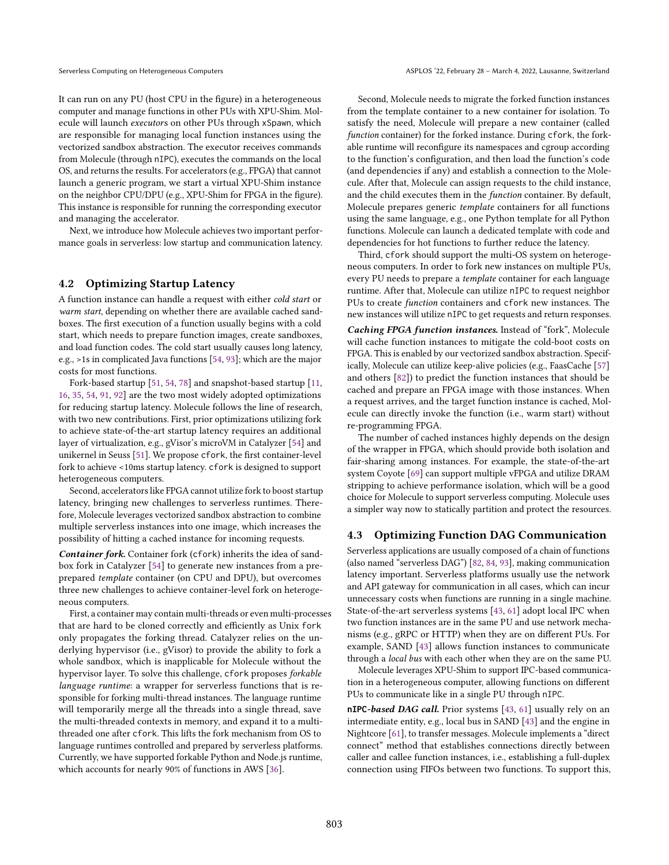It can run on any PU (host CPU in the figure) in a heterogeneous computer and manage functions in other PUs with XPU-Shim. Molecule will launch executors on other PUs through xSpawn, which are responsible for managing local function instances using the vectorized sandbox abstraction. The executor receives commands from Molecule (through nIPC), executes the commands on the local OS, and returns the results. For accelerators (e.g., FPGA) that cannot launch a generic program, we start a virtual XPU-Shim instance on the neighbor CPU/DPU (e.g., XPU-Shim for FPGA in the figure). This instance is responsible for running the corresponding executor and managing the accelerator.

Next, we introduce how Molecule achieves two important performance goals in serverless: low startup and communication latency.

#### 4.2 Optimizing Startup Latency

A function instance can handle a request with either cold start or warm start, depending on whether there are available cached sandboxes. The first execution of a function usually begins with a cold start, which needs to prepare function images, create sandboxes, and load function codes. The cold start usually causes long latency, e.g., >1s in complicated Java functions [\[54,](#page-15-4) [93\]](#page-16-10); which are the major costs for most functions.

Fork-based startup [\[51,](#page-15-18) [54,](#page-15-4) [78\]](#page-16-1) and snapshot-based startup [\[11,](#page-14-7) [16,](#page-14-8) [35,](#page-15-2) [54,](#page-15-4) [91,](#page-16-3) [92\]](#page-16-4) are the two most widely adopted optimizations for reducing startup latency. Molecule follows the line of research, with two new contributions. First, prior optimizations utilizing fork to achieve state-of-the-art startup latency requires an additional layer of virtualization, e.g., gVisor's microVM in Catalyzer [\[54\]](#page-15-4) and unikernel in Seuss [\[51\]](#page-15-18). We propose cfork, the first container-level fork to achieve <10ms startup latency. cfork is designed to support heterogeneous computers.

Second, accelerators like FPGA cannot utilize fork to boost startup latency, bringing new challenges to serverless runtimes. Therefore, Molecule leverages vectorized sandbox abstraction to combine multiple serverless instances into one image, which increases the possibility of hitting a cached instance for incoming requests.

Container fork. Container fork (cfork) inherits the idea of sandbox fork in Catalyzer [\[54\]](#page-15-4) to generate new instances from a preprepared template container (on CPU and DPU), but overcomes three new challenges to achieve container-level fork on heterogeneous computers.

First, a container may contain multi-threads or even multi-processes that are hard to be cloned correctly and efficiently as Unix fork only propagates the forking thread. Catalyzer relies on the underlying hypervisor (i.e., gVisor) to provide the ability to fork a whole sandbox, which is inapplicable for Molecule without the hypervisor layer. To solve this challenge, cfork proposes forkable language runtime: a wrapper for serverless functions that is responsible for forking multi-thread instances. The language runtime will temporarily merge all the threads into a single thread, save the multi-threaded contexts in memory, and expand it to a multithreaded one after cfork. This lifts the fork mechanism from OS to language runtimes controlled and prepared by serverless platforms. Currently, we have supported forkable Python and Node.js runtime, which accounts for nearly 90% of functions in AWS [\[36\]](#page-15-19).

Second, Molecule needs to migrate the forked function instances from the template container to a new container for isolation. To satisfy the need, Molecule will prepare a new container (called function container) for the forked instance. During cfork, the forkable runtime will reconfigure its namespaces and cgroup according to the function's configuration, and then load the function's code (and dependencies if any) and establish a connection to the Molecule. After that, Molecule can assign requests to the child instance, and the child executes them in the function container. By default, Molecule prepares generic template containers for all functions using the same language, e.g., one Python template for all Python functions. Molecule can launch a dedicated template with code and dependencies for hot functions to further reduce the latency.

Third, cfork should support the multi-OS system on heterogeneous computers. In order to fork new instances on multiple PUs, every PU needs to prepare a template container for each language runtime. After that, Molecule can utilize nIPC to request neighbor PUs to create function containers and cfork new instances. The new instances will utilize nIPC to get requests and return responses.

Caching FPGA function instances. Instead of "fork", Molecule will cache function instances to mitigate the cold-boot costs on FPGA. This is enabled by our vectorized sandbox abstraction. Specifically, Molecule can utilize keep-alive policies (e.g., FaasCache [\[57\]](#page-15-20) and others [\[82\]](#page-16-9)) to predict the function instances that should be cached and prepare an FPGA image with those instances. When a request arrives, and the target function instance is cached, Molecule can directly invoke the function (i.e., warm start) without re-programming FPGA.

The number of cached instances highly depends on the design of the wrapper in FPGA, which should provide both isolation and fair-sharing among instances. For example, the state-of-the-art system Coyote [\[69\]](#page-16-14) can support multiple vFPGA and utilize DRAM stripping to achieve performance isolation, which will be a good choice for Molecule to support serverless computing. Molecule uses a simpler way now to statically partition and protect the resources.

#### 4.3 Optimizing Function DAG Communication

Serverless applications are usually composed of a chain of functions (also named "serverless DAG") [\[82,](#page-16-9) [84,](#page-16-2) [93\]](#page-16-10), making communication latency important. Serverless platforms usually use the network and API gateway for communication in all cases, which can incur unnecessary costs when functions are running in a single machine. State-of-the-art serverless systems [\[43,](#page-15-3) [61\]](#page-15-5) adopt local IPC when two function instances are in the same PU and use network mechanisms (e.g., gRPC or HTTP) when they are on different PUs. For example, SAND [\[43\]](#page-15-3) allows function instances to communicate through a local bus with each other when they are on the same PU.

Molecule leverages XPU-Shim to support IPC-based communication in a heterogeneous computer, allowing functions on different PUs to communicate like in a single PU through nIPC.

**nIPC**-based DAG call. Prior systems [\[43,](#page-15-3) [61\]](#page-15-5) usually rely on an intermediate entity, e.g., local bus in SAND [\[43\]](#page-15-3) and the engine in Nightcore [\[61\]](#page-15-5), to transfer messages. Molecule implements a "direct connect" method that establishes connections directly between caller and callee function instances, i.e., establishing a full-duplex connection using FIFOs between two functions. To support this,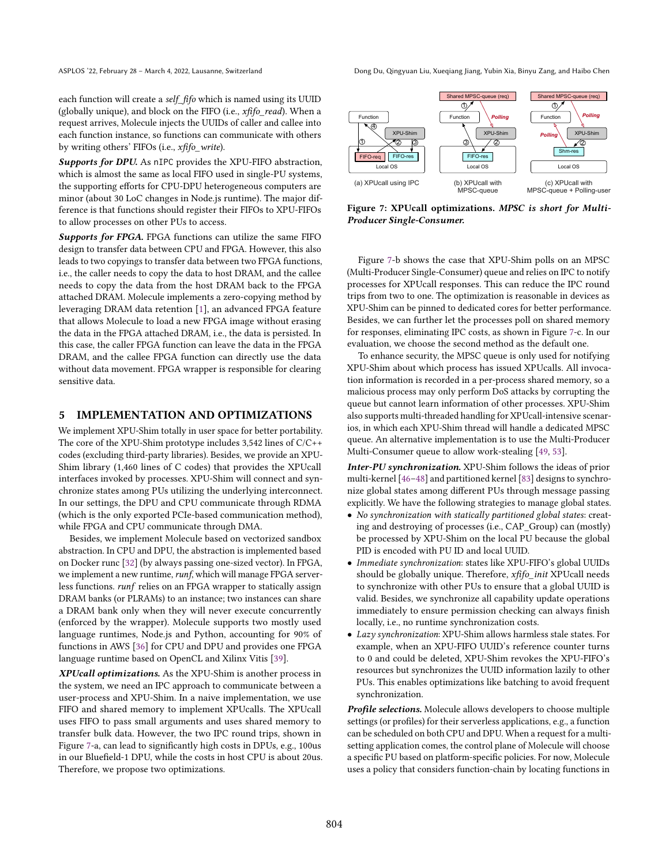ASPLOS '22, February 28 – March 4, 2022, Lausanne, Switzerland Dong Du, Qingyuan Liu, Xueqiang Jiang, Yubin Xia, Binyu Zang, and Haibo Chen

each function will create a self\_fifo which is named using its UUID (globally unique), and block on the FIFO (i.e.,  $xffo\_read$ ). When a request arrives, Molecule injects the UUIDs of caller and callee into each function instance, so functions can communicate with others by writing others' FIFOs (i.e., xfifo\_write).

Supports for DPU. As nIPC provides the XPU-FIFO abstraction, which is almost the same as local FIFO used in single-PU systems, the supporting efforts for CPU-DPU heterogeneous computers are minor (about 30 LoC changes in Node.js runtime). The major difference is that functions should register their FIFOs to XPU-FIFOs to allow processes on other PUs to access.

Supports for FPGA. FPGA functions can utilize the same FIFO design to transfer data between CPU and FPGA. However, this also leads to two copyings to transfer data between two FPGA functions, i.e., the caller needs to copy the data to host DRAM, and the callee needs to copy the data from the host DRAM back to the FPGA attached DRAM. Molecule implements a zero-copying method by leveraging DRAM data retention [\[1\]](#page-14-27), an advanced FPGA feature that allows Molecule to load a new FPGA image without erasing the data in the FPGA attached DRAM, i.e., the data is persisted. In this case, the caller FPGA function can leave the data in the FPGA DRAM, and the callee FPGA function can directly use the data without data movement. FPGA wrapper is responsible for clearing sensitive data.

#### <span id="page-7-0"></span>5 IMPLEMENTATION AND OPTIMIZATIONS

We implement XPU-Shim totally in user space for better portability. The core of the XPU-Shim prototype includes 3,542 lines of C/C++ codes (excluding third-party libraries). Besides, we provide an XPU-Shim library (1,460 lines of C codes) that provides the XPUcall interfaces invoked by processes. XPU-Shim will connect and synchronize states among PUs utilizing the underlying interconnect. In our settings, the DPU and CPU communicate through RDMA (which is the only exported PCIe-based communication method), while FPGA and CPU communicate through DMA.

Besides, we implement Molecule based on vectorized sandbox abstraction. In CPU and DPU, the abstraction is implemented based on Docker runc [\[32\]](#page-14-28) (by always passing one-sized vector). In FPGA, we implement a new runtime, runf, which will manage FPGA serverless functions. runf relies on an FPGA wrapper to statically assign DRAM banks (or PLRAMs) to an instance; two instances can share a DRAM bank only when they will never execute concurrently (enforced by the wrapper). Molecule supports two mostly used language runtimes, Node.js and Python, accounting for 90% of functions in AWS [\[36\]](#page-15-19) for CPU and DPU and provides one FPGA language runtime based on OpenCL and Xilinx Vitis [\[39\]](#page-15-21).

XPUcall optimizations. As the XPU-Shim is another process in the system, we need an IPC approach to communicate between a user-process and XPU-Shim. In a naive implementation, we use FIFO and shared memory to implement XPUcalls. The XPUcall uses FIFO to pass small arguments and uses shared memory to transfer bulk data. However, the two IPC round trips, shown in Figure [7-](#page-7-1)a, can lead to significantly high costs in DPUs, e.g., 100us in our Bluefield-1 DPU, while the costs in host CPU is about 20us. Therefore, we propose two optimizations.

<span id="page-7-1"></span>

Figure 7: XPUcall optimizations. MPSC is short for Multi-Producer Single-Consumer.

Figure [7-](#page-7-1)b shows the case that XPU-Shim polls on an MPSC (Multi-Producer Single-Consumer) queue and relies on IPC to notify processes for XPUcall responses. This can reduce the IPC round trips from two to one. The optimization is reasonable in devices as XPU-Shim can be pinned to dedicated cores for better performance. Besides, we can further let the processes poll on shared memory for responses, eliminating IPC costs, as shown in Figure [7-](#page-7-1)c. In our evaluation, we choose the second method as the default one.

To enhance security, the MPSC queue is only used for notifying XPU-Shim about which process has issued XPUcalls. All invocation information is recorded in a per-process shared memory, so a malicious process may only perform DoS attacks by corrupting the queue but cannot learn information of other processes. XPU-Shim also supports multi-threaded handling for XPUcall-intensive scenarios, in which each XPU-Shim thread will handle a dedicated MPSC queue. An alternative implementation is to use the Multi-Producer Multi-Consumer queue to allow work-stealing [\[49,](#page-15-22) [53\]](#page-15-23).

Inter-PU synchronization. XPU-Shim follows the ideas of prior multi-kernel  $[46-48]$  $[46-48]$  and partitioned kernel  $[83]$  designs to synchronize global states among different PUs through message passing explicitly. We have the following strategies to manage global states.

- No synchronization with statically partitioned global states: creating and destroying of processes (i.e., CAP\_Group) can (mostly) be processed by XPU-Shim on the local PU because the global PID is encoded with PU ID and local UUID.
- Immediate synchronization: states like XPU-FIFO's global UUIDs should be globally unique. Therefore, xfifo\_init XPUcall needs to synchronize with other PUs to ensure that a global UUID is valid. Besides, we synchronize all capability update operations immediately to ensure permission checking can always finish locally, i.e., no runtime synchronization costs.
- Lazy synchronization: XPU-Shim allows harmless stale states. For example, when an XPU-FIFO UUID's reference counter turns to 0 and could be deleted, XPU-Shim revokes the XPU-FIFO's resources but synchronizes the UUID information lazily to other PUs. This enables optimizations like batching to avoid frequent synchronization.

Profile selections. Molecule allows developers to choose multiple settings (or profiles) for their serverless applications, e.g., a function can be scheduled on both CPU and DPU. When a request for a multisetting application comes, the control plane of Molecule will choose a specific PU based on platform-specific policies. For now, Molecule uses a policy that considers function-chain by locating functions in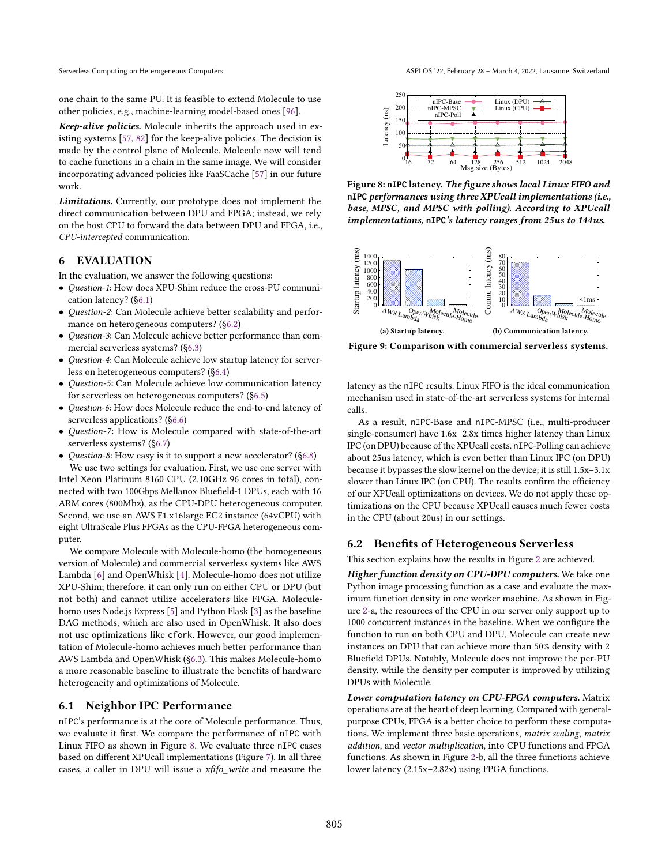one chain to the same PU. It is feasible to extend Molecule to use other policies, e.g., machine-learning model-based ones [\[96\]](#page-16-17).

Keep-alive policies. Molecule inherits the approach used in existing systems [\[57,](#page-15-20) [82\]](#page-16-9) for the keep-alive policies. The decision is made by the control plane of Molecule. Molecule now will tend to cache functions in a chain in the same image. We will consider incorporating advanced policies like FaaSCache [\[57\]](#page-15-20) in our future work.

Limitations. Currently, our prototype does not implement the direct communication between DPU and FPGA; instead, we rely on the host CPU to forward the data between DPU and FPGA, i.e., CPU-intercepted communication.

#### 6 EVALUATION

In the evaluation, we answer the following questions:

- Question-1: How does XPU-Shim reduce the cross-PU communication latency? ([ğ6.1\)](#page-8-0)
- Question-2: Can Molecule achieve better scalability and performance on heterogeneous computers? ([ğ6.2\)](#page-8-1)
- Question-3: Can Molecule achieve better performance than commercial serverless systems? ([ğ6.3\)](#page-9-0)
- Question-4: Can Molecule achieve low startup latency for serverless on heterogeneous computers? ([ğ6.4\)](#page-9-1)
- Question-5: Can Molecule achieve low communication latency for serverless on heterogeneous computers? ([ğ6.5\)](#page-10-0)
- Question-6: How does Molecule reduce the end-to-end latency of serverless applications? ([ğ6.6\)](#page-10-1)
- Question-7: How is Molecule compared with state-of-the-art serverless systems? ([ğ6.7\)](#page-11-0)
- *Question-8*: How easy is it to support a new accelerator? (§6.8) We use two settings for evaluation. First, we use one server with Intel Xeon Platinum 8160 CPU (2.10GHz 96 cores in total), con-

nected with two 100Gbps Mellanox Bluefield-1 DPUs, each with 16 ARM cores (800Mhz), as the CPU-DPU heterogeneous computer. Second, we use an AWS F1.x16large EC2 instance (64vCPU) with eight UltraScale Plus FPGAs as the CPU-FPGA heterogeneous computer.

We compare Molecule with Molecule-homo (the homogeneous version of Molecule) and commercial serverless systems like AWS Lambda [\[6\]](#page-14-0) and OpenWhisk [\[4\]](#page-14-5). Molecule-homo does not utilize XPU-Shim; therefore, it can only run on either CPU or DPU (but not both) and cannot utilize accelerators like FPGA. Moleculehomo uses Node.js Express [\[5\]](#page-14-29) and Python Flask [\[3\]](#page-14-30) as the baseline DAG methods, which are also used in OpenWhisk. It also does not use optimizations like cfork. However, our good implementation of Molecule-homo achieves much better performance than AWS Lambda and OpenWhisk ([ğ6.3\)](#page-9-0). This makes Molecule-homo a more reasonable baseline to illustrate the benefits of hardware heterogeneity and optimizations of Molecule.

#### <span id="page-8-0"></span>6.1 Neighbor IPC Performance

nIPC's performance is at the core of Molecule performance. Thus, we evaluate it first. We compare the performance of nIPC with Linux FIFO as shown in Figure [8.](#page-8-2) We evaluate three nIPC cases based on different XPUcall implementations (Figure [7\)](#page-7-1). In all three cases, a caller in DPU will issue a xfifo\_write and measure the

<span id="page-8-2"></span>

Figure 8: **nIPC** latency. The figure shows local Linux FIFO and **nIPC** performances using three XPUcall implementations (i.e., base, MPSC, and MPSC with polling). According to XPUcall implementations, **nIPC**'s latency ranges from 25us to 144us.

<span id="page-8-3"></span>

Figure 9: Comparison with commercial serverless systems.

latency as the nIPC results. Linux FIFO is the ideal communication mechanism used in state-of-the-art serverless systems for internal calls.

As a result, nIPC-Base and nIPC-MPSC (i.e., multi-producer single-consumer) have  $1.6x-2.8x$  times higher latency than Linux IPC (on DPU) because of the XPUcall costs. nIPC-Polling can achieve about 25us latency, which is even better than Linux IPC (on DPU) because it bypasses the slow kernel on the device; it is still 1.5x-3.1x slower than Linux IPC (on CPU). The results confirm the efficiency of our XPUcall optimizations on devices. We do not apply these optimizations on the CPU because XPUcall causes much fewer costs in the CPU (about 20us) in our settings.

#### <span id="page-8-1"></span>6.2 Benefits of Heterogeneous Serverless

This section explains how the results in Figure [2](#page-2-0) are achieved.

Higher function density on CPU-DPU computers. We take one Python image processing function as a case and evaluate the maximum function density in one worker machine. As shown in Figure [2-](#page-2-0)a, the resources of the CPU in our server only support up to 1000 concurrent instances in the baseline. When we configure the function to run on both CPU and DPU, Molecule can create new instances on DPU that can achieve more than 50% density with 2 Bluefield DPUs. Notably, Molecule does not improve the per-PU density, while the density per computer is improved by utilizing DPUs with Molecule.

Lower computation latency on CPU-FPGA computers. Matrix operations are at the heart of deep learning. Compared with generalpurpose CPUs, FPGA is a better choice to perform these computations. We implement three basic operations, matrix scaling, matrix addition, and vector multiplication, into CPU functions and FPGA functions. As shown in Figure [2-](#page-2-0)b, all the three functions achieve lower latency (2.15x-2.82x) using FPGA functions.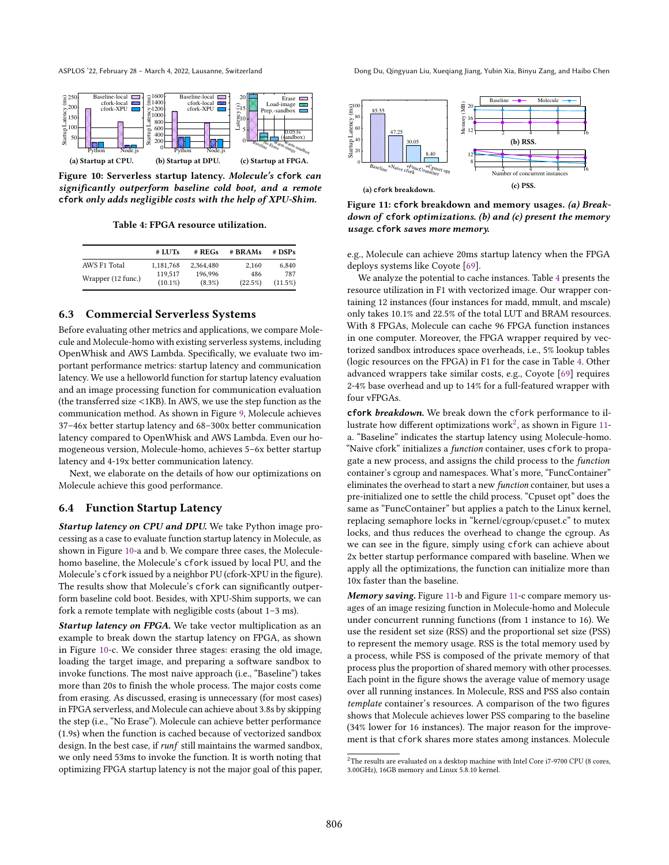<span id="page-9-2"></span>

Figure 10: Serverless startup latency. Molecule's **cfork** can significantly outperform baseline cold boot, and a remote **cfork** only adds negligible costs with the help of XPU-Shim.

Table 4: FPGA resource utilization.

<span id="page-9-3"></span>

|                    | # LUTs                | # REGs               | # BRAMs        | $#$ DSPs       |
|--------------------|-----------------------|----------------------|----------------|----------------|
| AWS F1 Total       | 1,181,768             | 2.364.480            | 2,160          | 6.840          |
| Wrapper (12 func.) | 119.517<br>$(10.1\%)$ | 196.996<br>$(8.3\%)$ | 486<br>(22.5%) | 787<br>(11.5%) |

## <span id="page-9-0"></span>6.3 Commercial Serverless Systems

Before evaluating other metrics and applications, we compare Molecule and Molecule-homo with existing serverless systems, including OpenWhisk and AWS Lambda. Specifically, we evaluate two important performance metrics: startup latency and communication latency. We use a helloworld function for startup latency evaluation and an image processing function for communication evaluation (the transferred size <1KB). In AWS, we use the step function as the communication method. As shown in Figure [9,](#page-8-3) Molecule achieves 37-46x better startup latency and 68-300x better communication latency compared to OpenWhisk and AWS Lambda. Even our homogeneous version, Molecule-homo, achieves 5-6x better startup latency and 4-19x better communication latency.

Next, we elaborate on the details of how our optimizations on Molecule achieve this good performance.

#### <span id="page-9-1"></span>6.4 Function Startup Latency

Startup latency on CPU and DPU. We take Python image processing as a case to evaluate function startup latency in Molecule, as shown in Figure [10-](#page-9-2)a and b. We compare three cases, the Moleculehomo baseline, the Molecule's cfork issued by local PU, and the Molecule's cfork issued by a neighbor PU (cfork-XPU in the figure). The results show that Molecule's cfork can significantly outperform baseline cold boot. Besides, with XPU-Shim supports, we can fork a remote template with negligible costs (about  $1-3$  ms).

Startup latency on FPGA. We take vector multiplication as an example to break down the startup latency on FPGA, as shown in Figure [10-](#page-9-2)c. We consider three stages: erasing the old image, loading the target image, and preparing a software sandbox to invoke functions. The most naive approach (i.e., "Baseline") takes more than 20s to finish the whole process. The major costs come from erasing. As discussed, erasing is unnecessary (for most cases) in FPGA serverless, and Molecule can achieve about 3.8s by skipping the step (i.e., "No Erase"). Molecule can achieve better performance (1.9s) when the function is cached because of vectorized sandbox design. In the best case, if runf still maintains the warmed sandbox, we only need 53ms to invoke the function. It is worth noting that optimizing FPGA startup latency is not the major goal of this paper,

ASPLOS '22, February 28 – March 4, 2022, Lausanne, Switzerland Dong Du, Qingyuan Liu, Xueqiang Jiang, Yubin Xia, Binyu Zang, and Haibo Chen

<span id="page-9-5"></span>

Figure 11: **cfork** breakdown and memory usages. (a) Breakdown of **cfork** optimizations. (b) and (c) present the memory usage. **cfork** saves more memory.

e.g., Molecule can achieve 20ms startup latency when the FPGA deploys systems like Coyote [\[69\]](#page-16-14).

We analyze the potential to cache instances. Table [4](#page-9-3) presents the resource utilization in F1 with vectorized image. Our wrapper containing 12 instances (four instances for madd, mmult, and mscale) only takes 10.1% and 22.5% of the total LUT and BRAM resources. With 8 FPGAs, Molecule can cache 96 FPGA function instances in one computer. Moreover, the FPGA wrapper required by vectorized sandbox introduces space overheads, i.e., 5% lookup tables (logic resources on the FPGA) in F1 for the case in Table [4.](#page-9-3) Other advanced wrappers take similar costs, e.g., Coyote [\[69\]](#page-16-14) requires 2-4% base overhead and up to 14% for a full-featured wrapper with four vFPGAs.

**cfork** breakdown. We break down the cfork performance to il-lustrate how different optimizations work<sup>[2](#page-9-4)</sup>, as shown in Figure [11](#page-9-5) a. "Baseline" indicates the startup latency using Molecule-homo. "Naive cfork" initializes a function container, uses cfork to propagate a new process, and assigns the child process to the function container's cgroup and namespaces. What's more, "FuncContainer" eliminates the overhead to start a new function container, but uses a pre-initialized one to settle the child process. "Cpuset opt" does the same as "FuncContainer" but applies a patch to the Linux kernel, replacing semaphore locks in "kernel/cgroup/cpuset.c" to mutex locks, and thus reduces the overhead to change the cgroup. As we can see in the figure, simply using cfork can achieve about 2x better startup performance compared with baseline. When we apply all the optimizations, the function can initialize more than 10x faster than the baseline.

Memory saving. Figure [11-](#page-9-5)b and Figure 11-c compare memory usages of an image resizing function in Molecule-homo and Molecule under concurrent running functions (from 1 instance to 16). We use the resident set size (RSS) and the proportional set size (PSS) to represent the memory usage. RSS is the total memory used by a process, while PSS is composed of the private memory of that process plus the proportion of shared memory with other processes. Each point in the figure shows the average value of memory usage over all running instances. In Molecule, RSS and PSS also contain template container's resources. A comparison of the two figures shows that Molecule achieves lower PSS comparing to the baseline (34% lower for 16 instances). The major reason for the improvement is that cfork shares more states among instances. Molecule

<span id="page-9-4"></span><sup>&</sup>lt;sup>2</sup>The results are evaluated on a desktop machine with Intel Core i7-9700 CPU (8 cores, 3.00GHz), 16GB memory and Linux 5.8.10 kernel.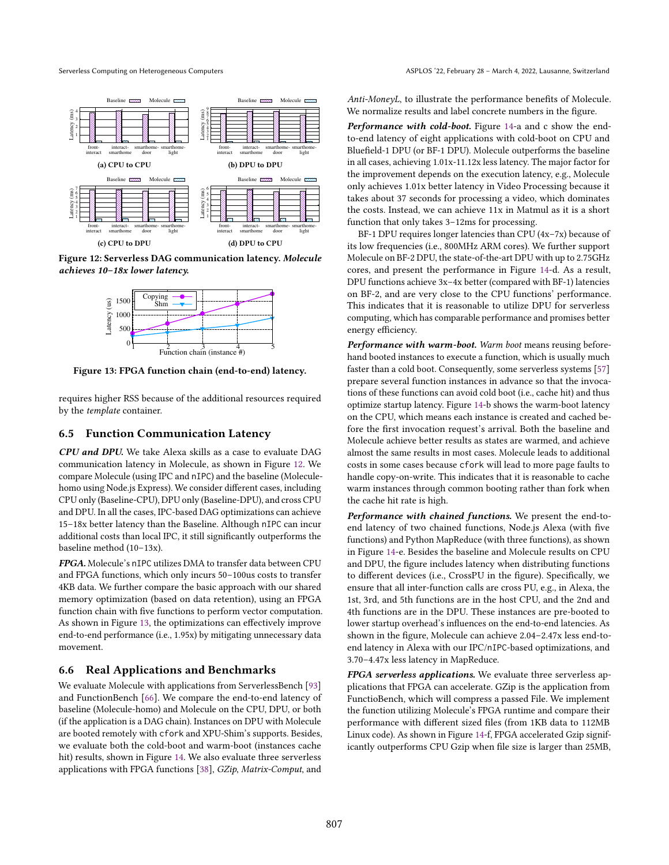<span id="page-10-2"></span>

<span id="page-10-3"></span>Figure 12: Serverless DAG communication latency. Molecule achieves 10-18x lower latency.



Figure 13: FPGA function chain (end-to-end) latency.

requires higher RSS because of the additional resources required by the template container.

#### <span id="page-10-0"></span>6.5 Function Communication Latency

CPU and DPU. We take Alexa skills as a case to evaluate DAG communication latency in Molecule, as shown in Figure [12.](#page-10-2) We compare Molecule (using IPC and nIPC) and the baseline (Moleculehomo using Node.js Express). We consider different cases, including CPU only (Baseline-CPU), DPU only (Baseline-DPU), and cross CPU and DPU. In all the cases, IPC-based DAG optimizations can achieve 15-18x better latency than the Baseline. Although nIPC can incur additional costs than local IPC, it still significantly outperforms the baseline method  $(10-13x)$ .

FPGA. Molecule's nIPC utilizes DMA to transfer data between CPU and FPGA functions, which only incurs 50-100us costs to transfer 4KB data. We further compare the basic approach with our shared memory optimization (based on data retention), using an FPGA function chain with five functions to perform vector computation. As shown in Figure [13,](#page-10-3) the optimizations can effectively improve end-to-end performance (i.e., 1.95x) by mitigating unnecessary data movement.

#### <span id="page-10-1"></span>6.6 Real Applications and Benchmarks

We evaluate Molecule with applications from ServerlessBench [\[93\]](#page-16-10) and FunctionBench [\[66\]](#page-15-12). We compare the end-to-end latency of baseline (Molecule-homo) and Molecule on the CPU, DPU, or both (if the application is a DAG chain). Instances on DPU with Molecule are booted remotely with cfork and XPU-Shim's supports. Besides, we evaluate both the cold-boot and warm-boot (instances cache hit) results, shown in Figure [14.](#page-11-1) We also evaluate three serverless applications with FPGA functions [\[38\]](#page-15-26), GZip, Matrix-Comput, and

Anti-MoneyL, to illustrate the performance benefits of Molecule. We normalize results and label concrete numbers in the figure.

Performance with cold-boot. Figure [14-](#page-11-1)a and c show the endto-end latency of eight applications with cold-boot on CPU and Bluefield-1 DPU (or BF-1 DPU). Molecule outperforms the baseline in all cases, achieving 1.01x-11.12x less latency. The major factor for the improvement depends on the execution latency, e.g., Molecule only achieves 1.01x better latency in Video Processing because it takes about 37 seconds for processing a video, which dominates the costs. Instead, we can achieve 11x in Matmul as it is a short function that only takes  $3-12$ ms for processing.

BF-1 DPU requires longer latencies than CPU ( $4x$ -7x) because of its low frequencies (i.e., 800MHz ARM cores). We further support Molecule on BF-2 DPU, the state-of-the-art DPU with up to 2.75GHz cores, and present the performance in Figure [14-](#page-11-1)d. As a result, DPU functions achieve 3x-4x better (compared with BF-1) latencies on BF-2, and are very close to the CPU functions' performance. This indicates that it is reasonable to utilize DPU for serverless computing, which has comparable performance and promises better energy efficiency.

Performance with warm-boot. Warm boot means reusing beforehand booted instances to execute a function, which is usually much faster than a cold boot. Consequently, some serverless systems [\[57\]](#page-15-20) prepare several function instances in advance so that the invocations of these functions can avoid cold boot (i.e., cache hit) and thus optimize startup latency. Figure [14-](#page-11-1)b shows the warm-boot latency on the CPU, which means each instance is created and cached before the first invocation request's arrival. Both the baseline and Molecule achieve better results as states are warmed, and achieve almost the same results in most cases. Molecule leads to additional costs in some cases because cfork will lead to more page faults to handle copy-on-write. This indicates that it is reasonable to cache warm instances through common booting rather than fork when the cache hit rate is high.

Performance with chained functions. We present the end-toend latency of two chained functions, Node.js Alexa (with five functions) and Python MapReduce (with three functions), as shown in Figure [14-](#page-11-1)e. Besides the baseline and Molecule results on CPU and DPU, the figure includes latency when distributing functions to different devices (i.e., CrossPU in the figure). Specifically, we ensure that all inter-function calls are cross PU, e.g., in Alexa, the 1st, 3rd, and 5th functions are in the host CPU, and the 2nd and 4th functions are in the DPU. These instances are pre-booted to lower startup overhead's influences on the end-to-end latencies. As shown in the figure, Molecule can achieve 2.04-2.47x less end-toend latency in Alexa with our IPC/nIPC-based optimizations, and 3.70-4.47x less latency in MapReduce.

FPGA serverless applications. We evaluate three serverless applications that FPGA can accelerate. GZip is the application from FunctioBench, which will compress a passed File. We implement the function utilizing Molecule's FPGA runtime and compare their performance with different sized files (from 1KB data to 112MB Linux code). As shown in Figure [14-](#page-11-1)f, FPGA accelerated Gzip significantly outperforms CPU Gzip when file size is larger than 25MB,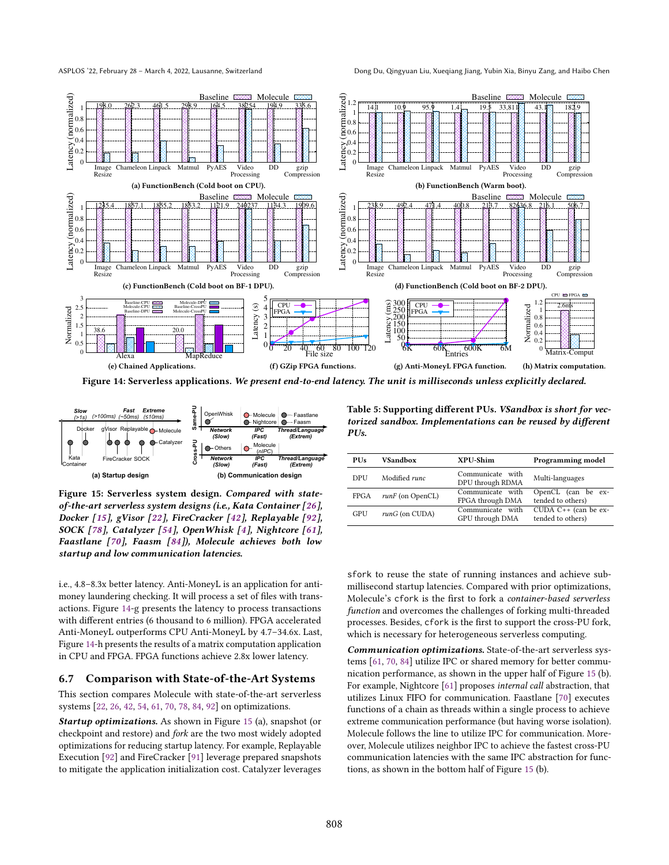ASPLOS '22, February 28 – March 4, 2022, Lausanne, Switzerland Dong Du, Qingyuan Liu, Xueqiang Jiang, Yubin Xia, Binyu Zang, and Haibo Chen

<span id="page-11-1"></span>

Figure 14: Serverless applications. We present end-to-end latency. The unit is milliseconds unless explicitly declared.

<span id="page-11-2"></span>

Figure 15: Serverless system design. Compared with stateof-the-art serverless system designs (i.e., Kata Container [\[26\]](#page-14-23), Docker [\[15\]](#page-14-20), gVisor [\[22\]](#page-14-21), FireCracker [\[42\]](#page-15-1), Replayable [\[92\]](#page-16-4), SOCK [\[78\]](#page-16-1), Catalyzer [\[54\]](#page-15-4), OpenWhisk [\[4\]](#page-14-5), Nightcore [\[61\]](#page-15-5), Faastlane [\[70\]](#page-16-18), Faasm [\[84\]](#page-16-2)), Molecule achieves both low startup and low communication latencies.

i.e., 4.8-8.3x better latency. Anti-MoneyL is an application for antimoney laundering checking. It will process a set of files with transactions. Figure [14-](#page-11-1)g presents the latency to process transactions with different entries (6 thousand to 6 million). FPGA accelerated Anti-MoneyL outperforms CPU Anti-MoneyL by 4.7-34.6x. Last, Figure [14-](#page-11-1)h presents the results of a matrix computation application in CPU and FPGA. FPGA functions achieve 2.8x lower latency.

#### <span id="page-11-0"></span>6.7 Comparison with State-of-the-Art Systems

This section compares Molecule with state-of-the-art serverless systems [\[22,](#page-14-21) [26,](#page-14-23) [42,](#page-15-1) [54,](#page-15-4) [61,](#page-15-5) [70,](#page-16-18) [78,](#page-16-1) [84,](#page-16-2) [92\]](#page-16-4) on optimizations.

Startup optimizations. As shown in Figure [15](#page-11-2) (a), snapshot (or checkpoint and restore) and fork are the two most widely adopted optimizations for reducing startup latency. For example, Replayable Execution [\[92\]](#page-16-4) and FireCracker [\[91\]](#page-16-3) leverage prepared snapshots to mitigate the application initialization cost. Catalyzer leverages

<span id="page-11-3"></span>Table 5: Supporting different PUs. VSandbox is short for vectorized sandbox. Implementations can be reused by different PU<sub>s</sub>.

| <b>PUs</b> | <b>VSandbox</b>     | XPU-Shim                             | Programming model                           |  |
|------------|---------------------|--------------------------------------|---------------------------------------------|--|
| DPU        | Modified runc       | Communicate with<br>DPU through RDMA | Multi-languages                             |  |
| FPGA       | $runF$ (on OpenCL)  | Communicate with<br>FPGA through DMA | OpenCL (can be ex-<br>tended to others)     |  |
| GPU        | $runG$ (on $CUDA$ ) | Communicate with<br>GPU through DMA  | CUDA $C++$ (can be ex-<br>tended to others) |  |

sfork to reuse the state of running instances and achieve submillisecond startup latencies. Compared with prior optimizations, Molecule's cfork is the first to fork a container-based serverless function and overcomes the challenges of forking multi-threaded processes. Besides, cfork is the first to support the cross-PU fork, which is necessary for heterogeneous serverless computing.

Communication optimizations. State-of-the-art serverless systems [\[61,](#page-15-5) [70,](#page-16-18) [84\]](#page-16-2) utilize IPC or shared memory for better communication performance, as shown in the upper half of Figure [15](#page-11-2) (b). For example, Nightcore [\[61\]](#page-15-5) proposes internal call abstraction, that utilizes Linux FIFO for communication. Faastlane [\[70\]](#page-16-18) executes functions of a chain as threads within a single process to achieve extreme communication performance (but having worse isolation). Molecule follows the line to utilize IPC for communication. Moreover, Molecule utilizes neighbor IPC to achieve the fastest cross-PU communication latencies with the same IPC abstraction for functions, as shown in the bottom half of Figure [15](#page-11-2) (b).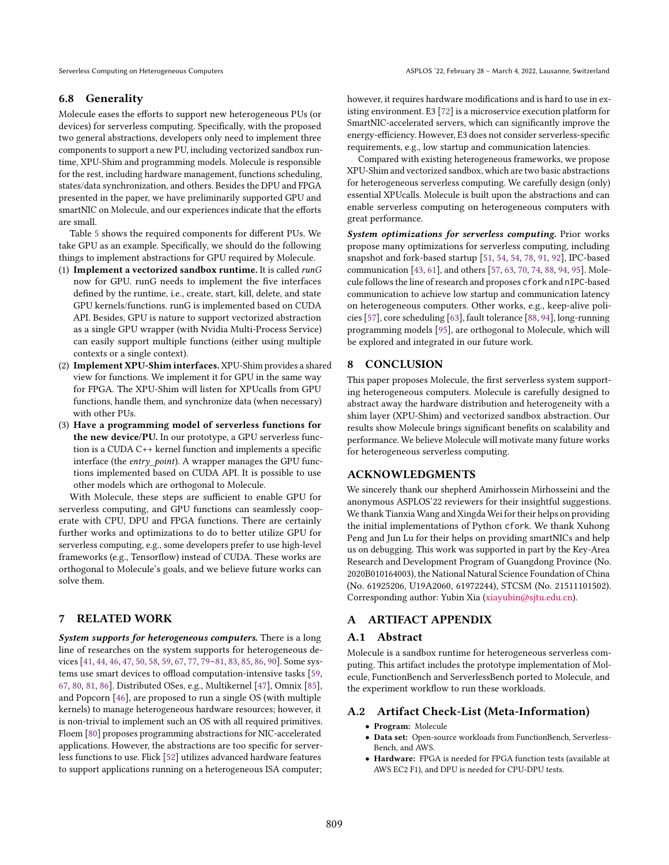#### <span id="page-12-0"></span>6.8 Generality

Molecule eases the efforts to support new heterogeneous PUs (or devices) for serverless computing. Specifically, with the proposed two general abstractions, developers only need to implement three components to support a new PU, including vectorized sandbox runtime, XPU-Shim and programming models. Molecule is responsible for the rest, including hardware management, functions scheduling, states/data synchronization, and others. Besides the DPU and FPGA presented in the paper, we have preliminarily supported GPU and smartNIC on Molecule, and our experiences indicate that the efforts are small.

Table [5](#page-11-3) shows the required components for different PUs. We take GPU as an example. Specifically, we should do the following things to implement abstractions for GPU required by Molecule.

- (1) Implement a vectorized sandbox runtime. It is called runG now for GPU. runG needs to implement the five interfaces defined by the runtime, i.e., create, start, kill, delete, and state GPU kernels/functions. runG is implemented based on CUDA API. Besides, GPU is nature to support vectorized abstraction as a single GPU wrapper (with Nvidia Multi-Process Service) can easily support multiple functions (either using multiple contexts or a single context).
- (2) Implement XPU-Shim interfaces. XPU-Shim provides a shared view for functions. We implement it for GPU in the same way for FPGA. The XPU-Shim will listen for XPUcalls from GPU functions, handle them, and synchronize data (when necessary) with other PUs.
- (3) Have a programming model of serverless functions for the new device/PU. In our prototype, a GPU serverless function is a CUDA C++ kernel function and implements a specific interface (the *entry point*). A wrapper manages the GPU functions implemented based on CUDA API. It is possible to use other models which are orthogonal to Molecule.

With Molecule, these steps are sufficient to enable GPU for serverless computing, and GPU functions can seamlessly cooperate with CPU, DPU and FPGA functions. There are certainly further works and optimizations to do to better utilize GPU for serverless computing, e.g., some developers prefer to use high-level frameworks (e.g., Tensorflow) instead of CUDA. These works are orthogonal to Molecule's goals, and we believe future works can solve them.

## 7 RELATED WORK

System supports for heterogeneous computers. There is a long line of researches on the system supports for heterogeneous de-vices [\[41,](#page-15-27) [44,](#page-15-28) [46,](#page-15-24) [47,](#page-15-29) [50,](#page-15-30) [58,](#page-15-31) [59,](#page-15-32) [67,](#page-15-8) [77,](#page-16-19) [79](#page-16-20)-81, [83,](#page-16-16) [85,](#page-16-22) [86,](#page-16-6) [90\]](#page-16-11). Some systems use smart devices to offload computation-intensive tasks [\[59,](#page-15-32) [67,](#page-15-8) [80,](#page-16-23) [81,](#page-16-21) [86\]](#page-16-6). Distributed OSes, e.g., Multikernel [\[47\]](#page-15-29), Omnix [\[85\]](#page-16-22), and Popcorn [\[46\]](#page-15-24), are proposed to run a single OS (with multiple kernels) to manage heterogeneous hardware resources; however, it is non-trivial to implement such an OS with all required primitives. Floem [\[80\]](#page-16-23) proposes programming abstractions for NIC-accelerated applications. However, the abstractions are too specific for serverless functions to use. Flick [\[52\]](#page-15-33) utilizes advanced hardware features to support applications running on a heterogeneous ISA computer;

however, it requires hardware modifications and is hard to use in existing environment. E3 [\[72\]](#page-16-24) is a microservice execution platform for SmartNIC-accelerated servers, which can significantly improve the energy-efficiency. However, E3 does not consider serverless-specific requirements, e.g., low startup and communication latencies.

Compared with existing heterogeneous frameworks, we propose XPU-Shim and vectorized sandbox, which are two basic abstractions for heterogeneous serverless computing. We carefully design (only) essential XPUcalls. Molecule is built upon the abstractions and can enable serverless computing on heterogeneous computers with great performance.

System optimizations for serverless computing. Prior works propose many optimizations for serverless computing, including snapshot and fork-based startup [\[51,](#page-15-18) [54,](#page-15-4) [54,](#page-15-4) [78,](#page-16-1) [91,](#page-16-3) [92\]](#page-16-4), IPC-based communication [\[43,](#page-15-3) [61\]](#page-15-5), and others [\[57,](#page-15-20) [63,](#page-15-34) [70,](#page-16-18) [74,](#page-16-25) [88,](#page-16-26) [94,](#page-16-27) [95\]](#page-16-28). Molecule follows the line of research and proposes cfork and nIPC-based communication to achieve low startup and communication latency on heterogeneous computers. Other works, e.g., keep-alive policies [\[57\]](#page-15-20), core scheduling [\[63\]](#page-15-34), fault tolerance [\[88,](#page-16-26) [94\]](#page-16-27), long-running programming models [\[95\]](#page-16-28), are orthogonal to Molecule, which will be explored and integrated in our future work.

## 8 CONCLUSION

This paper proposes Molecule, the first serverless system supporting heterogeneous computers. Molecule is carefully designed to abstract away the hardware distribution and heterogeneity with a shim layer (XPU-Shim) and vectorized sandbox abstraction. Our results show Molecule brings significant benefits on scalability and performance. We believe Molecule will motivate many future works for heterogeneous serverless computing.

#### ACKNOWLEDGMENTS

We sincerely thank our shepherd Amirhossein Mirhosseini and the anonymous ASPLOS'22 reviewers for their insightful suggestions. We thank Tianxia Wang and Xingda Wei for their helps on providing the initial implementations of Python cfork. We thank Xuhong Peng and Jun Lu for their helps on providing smartNICs and help us on debugging. This work was supported in part by the Key-Area Research and Development Program of Guangdong Province (No. 2020B010164003), the National Natural Science Foundation of China (No. 61925206, U19A2060, 61972244), STCSM (No. 21511101502). Corresponding author: Yubin Xia (xiayubin@sjtu.edu.cn).

## A ARTIFACT APPENDIX

#### A.1 Abstract

Molecule is a sandbox runtime for heterogeneous serverless computing. This artifact includes the prototype implementation of Molecule, FunctionBench and ServerlessBench ported to Molecule, and the experiment workflow to run these workloads.

#### A.2 Artifact Check-List (Meta-Information)

- Program: Molecule
- Data set: Open-source workloads from FunctionBench, Serverless-Bench, and AWS.
- Hardware: FPGA is needed for FPGA function tests (available at AWS EC2 F1), and DPU is needed for CPU-DPU tests.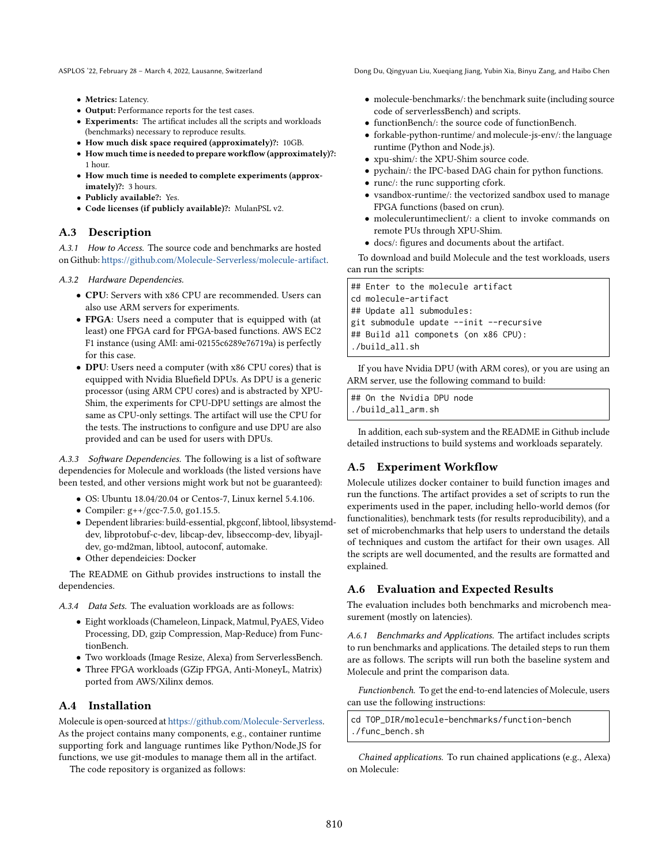ASPLOS '22, February 28 – March 4, 2022, Lausanne, Switzerland Dong Du, Qingyuan Liu, Xueqiang Jiang, Yubin Xia, Binyu Zang, and Haibo Chen

- Metrics: Latency.
- Output: Performance reports for the test cases.
- Experiments: The artificat includes all the scripts and workloads (benchmarks) necessary to reproduce results.
- How much disk space required (approximately)?: 10GB.
- How much time is needed to prepare workflow (approximately)?: 1 hour.
- How much time is needed to complete experiments (approximately)?: 3 hours.
- Publicly available?: Yes.
- Code licenses (if publicly available)?: MulanPSL v2.

## A.3 Description

A.3.1 How to Access. The source code and benchmarks are hosted on Github: [https://github.com/Molecule-Serverless/molecule-artifact.](https://github.com/Molecule-Serverless/molecule-artifact)

#### A.3.2 Hardware Dependencies.

- CPU: Servers with x86 CPU are recommended. Users can also use ARM servers for experiments.
- FPGA: Users need a computer that is equipped with (at least) one FPGA card for FPGA-based functions. AWS EC2 F1 instance (using AMI: ami-02155c6289e76719a) is perfectly for this case.
- DPU: Users need a computer (with x86 CPU cores) that is equipped with Nvidia Bluefield DPUs. As DPU is a generic processor (using ARM CPU cores) and is abstracted by XPU-Shim, the experiments for CPU-DPU settings are almost the same as CPU-only settings. The artifact will use the CPU for the tests. The instructions to configure and use DPU are also provided and can be used for users with DPUs.

A.3.3 Software Dependencies. The following is a list of software dependencies for Molecule and workloads (the listed versions have been tested, and other versions might work but not be guaranteed):

- OS: Ubuntu 18.04/20.04 or Centos-7, Linux kernel 5.4.106.
- Compiler: g++/gcc-7.5.0, go1.15.5.
- Dependent libraries: build-essential, pkgconf, libtool, libsystemddev, libprotobuf-c-dev, libcap-dev, libseccomp-dev, libyajldev, go-md2man, libtool, autoconf, automake.
- Other dependeicies: Docker

The README on Github provides instructions to install the dependencies.

A.3.4 Data Sets. The evaluation workloads are as follows:

- Eight workloads (Chameleon, Linpack, Matmul, PyAES, Video Processing, DD, gzip Compression, Map-Reduce) from FunctionBench.
- Two workloads (Image Resize, Alexa) from ServerlessBench.
- Three FPGA workloads (GZip FPGA, Anti-MoneyL, Matrix) ported from AWS/Xilinx demos.

# A.4 Installation

Molecule is open-sourced at [https://github.com/Molecule-Serverless.](https://github.com/Molecule-Serverless) As the project contains many components, e.g., container runtime supporting fork and language runtimes like Python/Node.JS for functions, we use git-modules to manage them all in the artifact.

The code repository is organized as follows:

- molecule-benchmarks/: the benchmark suite (including source code of serverlessBench) and scripts.
- functionBench/: the source code of functionBench.
- forkable-python-runtime/ and molecule-js-env/: the language runtime (Python and Node.js).
- xpu-shim/: the XPU-Shim source code.
- pychain/: the IPC-based DAG chain for python functions.
- runc/: the runc supporting cfork.
- vsandbox-runtime/: the vectorized sandbox used to manage FPGA functions (based on crun).
- moleculeruntimeclient/: a client to invoke commands on remote PUs through XPU-Shim.
- docs/: figures and documents about the artifact.

To download and build Molecule and the test workloads, users can run the scripts:

| ## Enter to the molecule artifact       |
|-----------------------------------------|
| cd molecule-artifact                    |
| ## Update all submodules:               |
| git submodule update --init --recursive |
| ## Build all componets (on x86 CPU):    |
| ./build_all.sh                          |
|                                         |

If you have Nvidia DPU (with ARM cores), or you are using an ARM server, use the following command to build:

## On the Nvidia DPU node ./build\_all\_arm.sh

In addition, each sub-system and the README in Github include detailed instructions to build systems and workloads separately.

# A.5 Experiment Workflow

Molecule utilizes docker container to build function images and run the functions. The artifact provides a set of scripts to run the experiments used in the paper, including hello-world demos (for functionalities), benchmark tests (for results reproducibility), and a set of microbenchmarks that help users to understand the details of techniques and custom the artifact for their own usages. All the scripts are well documented, and the results are formatted and explained.

# A.6 Evaluation and Expected Results

The evaluation includes both benchmarks and microbench measurement (mostly on latencies).

A.6.1 Benchmarks and Applications. The artifact includes scripts to run benchmarks and applications. The detailed steps to run them are as follows. The scripts will run both the baseline system and Molecule and print the comparison data.

Functionbench. To get the end-to-end latencies of Molecule, users can use the following instructions:

cd TOP\_DIR/molecule-benchmarks/function-bench ./func\_bench.sh

Chained applications. To run chained applications (e.g., Alexa) on Molecule: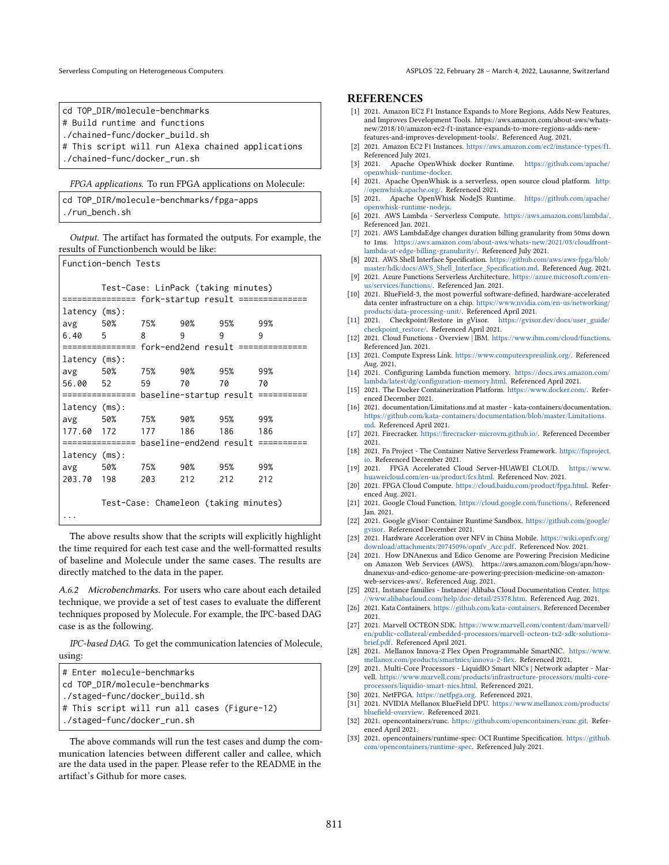Serverless Computing on Heterogeneous Computers ASPLOS '22, February 28 – March 4, 2022, Lausanne, Switzerland

cd TOP\_DIR/molecule-benchmarks # Build runtime and functions ./chained-func/docker\_build.sh # This script will run Alexa chained applications

./chained-func/docker\_run.sh

FPGA applications. To run FPGA applications on Molecule:

cd TOP\_DIR/molecule-benchmarks/fpga-apps ./run\_bench.sh

Output. The artifact has formated the outputs. For example, the results of Functionbench would be like:

| Function-bench Tests |  |                                |     |                                       |                                                    |
|----------------------|--|--------------------------------|-----|---------------------------------------|----------------------------------------------------|
|                      |  |                                |     | Test-Case: LinPack (taking minutes)   |                                                    |
|                      |  |                                |     |                                       | =============== fork-startup result ============== |
| $latency$ (ms):      |  |                                |     |                                       |                                                    |
|                      |  |                                |     | avg 50% 75% 90% 95% 99%               |                                                    |
| 6.40 5               |  | $8 \left( \frac{1}{2} \right)$ | 9   | 9                                     | 9                                                  |
|                      |  |                                |     |                                       | =============== fork-end2end result ============== |
| $latency$ $(ms)$ :   |  |                                |     |                                       |                                                    |
|                      |  |                                |     | avg 50% 75% 90% 95% 99%               |                                                    |
| 56.00 52             |  | 59                             | 70  | 70                                    | 70                                                 |
|                      |  |                                |     |                                       |                                                    |
|                      |  |                                |     |                                       |                                                    |
| $latency$ (ms):      |  |                                |     |                                       |                                                    |
| avg 50%              |  |                                |     | 75% 90% 95% 99%                       |                                                    |
|                      |  |                                |     | 177.60 172 177 186 186                | 186                                                |
|                      |  |                                |     |                                       |                                                    |
| $latency$ (ms):      |  |                                |     |                                       |                                                    |
|                      |  |                                |     | avg 50% 75% 90% 95% 99%               |                                                    |
| 203.70 198           |  | 203                            | 212 | 212                                   | 212                                                |
|                      |  |                                |     |                                       |                                                    |
|                      |  |                                |     | Test-Case: Chameleon (taking minutes) |                                                    |

The above results show that the scripts will explicitly highlight the time required for each test case and the well-formatted results of baseline and Molecule under the same cases. The results are directly matched to the data in the paper.

A.6.2 Microbenchmarks. For users who care about each detailed technique, we provide a set of test cases to evaluate the different techniques proposed by Molecule. For example, the IPC-based DAG case is as the following.

IPC-based DAG. To get the communication latencies of Molecule, using:

| ∣# Enter molecule-benchmarks                 |
|----------------------------------------------|
| cd TOP_DIR/molecule-benchmarks               |
| ./staged-func/docker_build.sh                |
| # This script will run all cases (Figure-12) |
| ./staged-func/docker_run.sh                  |

The above commands will run the test cases and dump the communication latencies between different caller and callee, which are the data used in the paper. Please refer to the README in the artifact's Github for more cases.

## **REFERENCES**

- <span id="page-14-27"></span>[1] 2021. Amazon EC2 F1 Instance Expands to More Regions, Adds New Features, and Improves Development Tools. https://aws.amazon.com/about-aws/whatsnew/2018/10/amazon-ec2-f1-instance-expands-to-more-regions-adds-newfeatures-and-improves-development-tools/. Referenced Aug. 2021.
- <span id="page-14-12"></span>[2] 2021. Amazon EC2 F1 Instances. [https://aws.amazon.com/ec2/instance-types/f1.](https://aws.amazon.com/ec2/instance-types/f1) Referenced July 2021.
- <span id="page-14-30"></span>[3] 2021. Apache OpenWhisk docker Runtime. [https://github.com/apache/](https://github.com/apache/openwhisk-runtime-docker) [openwhisk-runtime-docker.](https://github.com/apache/openwhisk-runtime-docker)
- <span id="page-14-5"></span>[4] 2021. Apache OpenWhisk is a serverless, open source cloud platform. [http:](http://openwhisk.apache.org/) [//openwhisk.apache.org/.](http://openwhisk.apache.org/) Referenced 2021.
- <span id="page-14-29"></span>[5] 2021. Apache OpenWhisk NodeJS Runtime. [https://github.com/apache/](https://github.com/apache/openwhisk-runtime-nodejs) [openwhisk-runtime-nodejs.](https://github.com/apache/openwhisk-runtime-nodejs)
- <span id="page-14-0"></span>[6] 2021. AWS Lambda - Serverless Compute. [https://aws.amazon.com/lambda/.](https://aws.amazon.com/lambda/) Referenced Jan. 2021.
- <span id="page-14-4"></span>[7] 2021. AWS LambdaEdge changes duration billing granularity from 50ms down to 1ms. [https://aws.amazon.com/about-aws/whats-new/2021/03/cloudfront](https://aws.amazon.com/about-aws/whats-new/2021/03/cloudfront-lambda-at-edge-billing-granularity/)[lambda-at-edge-billing-granularity/.](https://aws.amazon.com/about-aws/whats-new/2021/03/cloudfront-lambda-at-edge-billing-granularity/) Referenced July 2021.
- <span id="page-14-25"></span>[8] 2021. AWS Shell Interface Specification. [https://github.com/aws/aws-fpga/blob/](https://github.com/aws/aws-fpga/blob/master/hdk/docs/AWS_Shell_Interface_Specification.md) [master/hdk/docs/AWS\\_Shell\\_Interface\\_Specification.md.](https://github.com/aws/aws-fpga/blob/master/hdk/docs/AWS_Shell_Interface_Specification.md) Referenced Aug. 2021.
- <span id="page-14-1"></span>[9] 2021. Azure Functions Serverless Architecture. [https://azure.microsoft.com/en](https://azure.microsoft.com/en-us/services/functions/)[us/services/functions/.](https://azure.microsoft.com/en-us/services/functions/) Referenced Jan. 2021.
- <span id="page-14-10"></span>[10] 2021. BlueField-3, the most powerful software-defined, hardware-accelerated data center infrastructure on a chip. [https://www.nvidia.com/en-us/networking/](https://www.nvidia.com/en-us/networking/products/data-processing-unit/) [products/data-processing-unit/.](https://www.nvidia.com/en-us/networking/products/data-processing-unit/) Referenced April 2021.
- <span id="page-14-7"></span>[11] 2021. Checkpoint/Restore in gVisor. [https://gvisor.dev/docs/user\\_guide/](https://gvisor.dev/docs/user_guide/checkpoint_restore/) [checkpoint\\_restore/.](https://gvisor.dev/docs/user_guide/checkpoint_restore/) Referenced April 2021.
- <span id="page-14-2"></span>[12] 2021. Cloud Functions - Overview | IBM. [https://www.ibm.com/cloud/functions.](https://www.ibm.com/cloud/functions) Referenced Jan. 2021.
- <span id="page-14-18"></span>[13] 2021. Compute Express Link. [https://www.computeexpresslink.org/.](https://www.computeexpresslink.org/) Referenced Aug. 2021.
- <span id="page-14-26"></span>[14] 2021. Configuring Lambda function memory. [https://docs.aws.amazon.com/](https://docs.aws.amazon.com/lambda/latest/dg/configuration-memory.html) [lambda/latest/dg/configuration-memory.html.](https://docs.aws.amazon.com/lambda/latest/dg/configuration-memory.html) Referenced April 2021.
- <span id="page-14-20"></span>[15] 2021. The Docker Containerization Platform. [https://www.docker.com/.](https://www.docker.com/) Referenced December 2021.
- <span id="page-14-8"></span>[16] 2021. documentation/Limitations.md at master - kata-containers/documentation. [https://github.com/kata-containers/documentation/blob/master/Limitations.](https://github.com/kata-containers/documentation/blob/master/Limitations.md) [md.](https://github.com/kata-containers/documentation/blob/master/Limitations.md) Referenced April 2021.
- <span id="page-14-22"></span>[17] 2021. Firecracker. [https://firecracker-microvm.github.io/.](https://firecracker-microvm.github.io/) Referenced December 2021.
- <span id="page-14-6"></span>[18] 2021. Fn Project - The Container Native Serverless Framework. [https://fnproject.](https://fnproject.io) [io.](https://fnproject.io) Referenced December 2021.
- <span id="page-14-13"></span>[19] 2021. FPGA Accelerated Cloud Server-HUAWEI CLOUD. [https://www.](https://www.huaweicloud.com/en-us/product/fcs.html) [huaweicloud.com/en-us/product/fcs.html.](https://www.huaweicloud.com/en-us/product/fcs.html) Referenced Nov. 2021.
- <span id="page-14-14"></span>[20] 2021. FPGA Cloud Compute. [https://cloud.baidu.com/product/fpga.html.](https://cloud.baidu.com/product/fpga.html) Referenced Aug. 2021.
- <span id="page-14-3"></span>[21] 2021. Google Cloud Function. [https://cloud.google.com/functions/.](https://cloud.google.com/functions/) Referenced Jan. 2021.
- <span id="page-14-21"></span>[22] 2021. Google gVisor: Container Runtime Sandbox. [https://github.com/google/](https://github.com/google/gvisor) [gvisor.](https://github.com/google/gvisor) Referenced December 2021.
- <span id="page-14-15"></span>[23] 2021. Hardware Acceleration over NFV in China Mobile. [https://wiki.opnfv.org/](https://wiki.opnfv.org/download/attachments/20745096/opnfv_Acc.pdf) [download/attachments/20745096/opnfv\\_Acc.pdf.](https://wiki.opnfv.org/download/attachments/20745096/opnfv_Acc.pdf) Referenced Nov. 2021.
- <span id="page-14-9"></span>[24] 2021. How DNAnexus and Edico Genome are Powering Precision Medicine on Amazon Web Services (AWS). https://aws.amazon.com/blogs/apn/howdnanexus-and-edico-genome-are-powering-precision-medicine-on-amazonweb-services-aws/. Referenced Aug. 2021.
- <span id="page-14-16"></span>[25] 2021. Instance families - Instance| Alibaba Cloud Documentation Center. [https:](https://www.alibabacloud.com/help/doc-detail/25378.htm) [//www.alibabacloud.com/help/doc-detail/25378.htm.](https://www.alibabacloud.com/help/doc-detail/25378.htm) Referenced Aug. 2021.
- <span id="page-14-23"></span>[26] 2021. Kata Containers. [https://github.com/kata-containers.](https://github.com/kata-containers) Referenced December 2021.
- <span id="page-14-17"></span>[27] 2021. Marvell OCTEON SDK. [https://www.marvell.com/content/dam/marvell/](https://www.marvell.com/content/dam/marvell/en/public-collateral/embedded-processors/marvell-octeon-tx2-sdk-solutions-brief.pdf) [en/public-collateral/embedded-processors/marvell-octeon-tx2-sdk-solutions](https://www.marvell.com/content/dam/marvell/en/public-collateral/embedded-processors/marvell-octeon-tx2-sdk-solutions-brief.pdf)[brief.pdf.](https://www.marvell.com/content/dam/marvell/en/public-collateral/embedded-processors/marvell-octeon-tx2-sdk-solutions-brief.pdf) Referenced April 2021.
- <span id="page-14-19"></span>[28] 2021. Mellanox Innova-2 Flex Open Programmable SmartNIC. [https://www.](https://www.mellanox.com/products/smartnics/innova-2-flex) [mellanox.com/products/smartnics/innova-2-flex.](https://www.mellanox.com/products/smartnics/innova-2-flex) Referenced 2021.
- [29] 2021. Multi-Core Processors LiquidIO Smart NICs | Network adapter Marvell. [https://www.marvell.com/products/infrastructure-processors/multi-core](https://www.marvell.com/products/infrastructure-processors/multi-core-processors/liquidio-smart-nics.html)[processors/liquidio-smart-nics.html.](https://www.marvell.com/products/infrastructure-processors/multi-core-processors/liquidio-smart-nics.html) Referenced 2021.
- [30] 2021. NetFPGA. [https://netfpga.org.](https://netfpga.org) Referenced 2021.<br>[31] 2021. NVIDIA Mellanox BlueField DPU. https://www.
- <span id="page-14-11"></span>[31] 2021. NVIDIA Mellanox BlueField DPU. [https://www.mellanox.com/products/](https://www.mellanox.com/products/bluefield-overview) [bluefield-overview.](https://www.mellanox.com/products/bluefield-overview) Referenced 2021.
- <span id="page-14-28"></span>[32] 2021. opencontainers/runc. [https://github.com/opencontainers/runc.git.](https://github.com/opencontainers/runc.git) Referenced April 2021.
- <span id="page-14-24"></span>[33] 2021. opencontainers/runtime-spec: OCI Runtime Specification. [https://github.](https://github.com/opencontainers/runtime-spec) [com/opencontainers/runtime-spec.](https://github.com/opencontainers/runtime-spec) Referenced July 2021.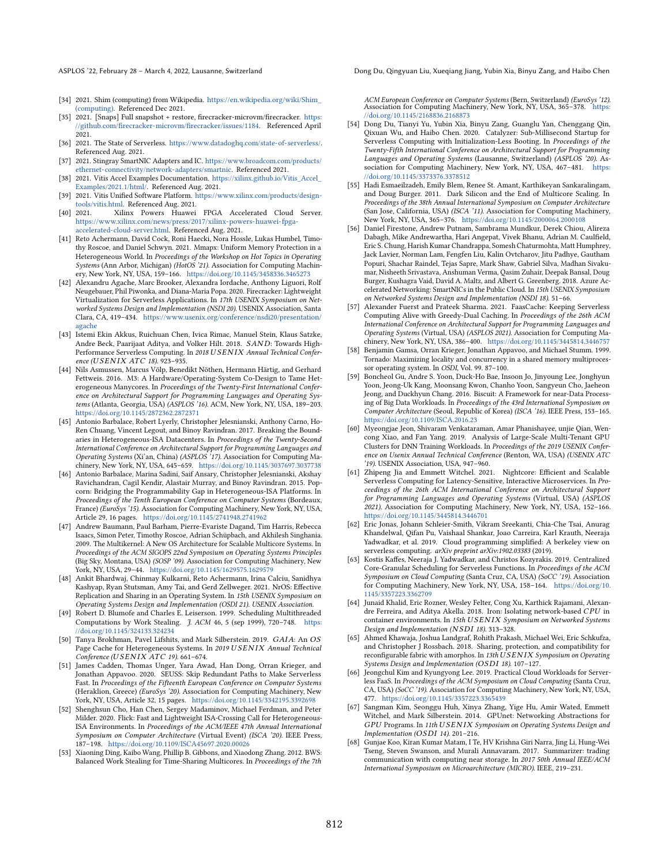ASPLOS '22, February 28 – March 4, 2022, Lausanne, Switzerland Dong Du, Qingyuan Liu, Xueqiang Jiang, Yubin Xia, Binyu Zang, and Haibo Chen

- <span id="page-15-15"></span>[34] 2021. Shim (computing) from Wikipedia. [https://en.wikipedia.org/wiki/Shim\\_](https://en.wikipedia.org/wiki/Shim_(computing)) [\(computing\).](https://en.wikipedia.org/wiki/Shim_(computing)) Referenced Dec 2021.
- <span id="page-15-2"></span>[35] 2021. [Snaps] Full snapshot + restore, firecracker-microvm/firecracker. [https:](https://github.com/firecracker-microvm/firecracker/issues/1184) [//github.com/firecracker-microvm/firecracker/issues/1184.](https://github.com/firecracker-microvm/firecracker/issues/1184) Referenced April 2021.
- <span id="page-15-19"></span>[36] 2021. The State of Serverless. [https://www.datadoghq.com/state-of-serverless/.](https://www.datadoghq.com/state-of-serverless/) Referenced Aug. 2021.
- <span id="page-15-13"></span>[37] 2021. Stingray SmartNIC Adapters and IC. [https://www.broadcom.com/products/](https://www.broadcom.com/products/ethernet-connectivity/network-adapters/smartnic) [ethernet-connectivity/network-adapters/smartnic.](https://www.broadcom.com/products/ethernet-connectivity/network-adapters/smartnic) Referenced 2021.
- <span id="page-15-26"></span>[38] 2021. Vitis Accel Examples Documentation. [https://xilinx.github.io/Vitis\\_Accel\\_](https://xilinx.github.io/Vitis_Accel_Examples/2021.1/html/) [Examples/2021.1/html/.](https://xilinx.github.io/Vitis_Accel_Examples/2021.1/html/) Referenced Aug. 2021.
- <span id="page-15-21"></span>[39] 2021. Vitis Unified Software Platform. [https://www.xilinx.com/products/design](https://www.xilinx.com/products/design-tools/vitis.html)[tools/vitis.html.](https://www.xilinx.com/products/design-tools/vitis.html) Referenced Aug. 2021.
- <span id="page-15-9"></span>[40] 2021. Xilinx Powers Huawei FPGA Accelerated Cloud Server. [https://www.xilinx.com/news/press/2017/xilinx-powers-huawei-fpga](https://www.xilinx.com/news/press/2017/xilinx-powers-huawei-fpga-accelerated-cloud-server.html)[accelerated-cloud-server.html.](https://www.xilinx.com/news/press/2017/xilinx-powers-huawei-fpga-accelerated-cloud-server.html) Referenced Aug. 2021.
- <span id="page-15-27"></span>[41] Reto Achermann, David Cock, Roni Haecki, Nora Hossle, Lukas Humbel, Timothy Roscoe, and Daniel Schwyn. 2021. Mmapx: Uniform Memory Protection in a Heterogeneous World. In Proceedings of the Workshop on Hot Topics in Operating Systems (Ann Arbor, Michigan) (HotOS '21). Association for Computing Machinery, New York, NY, USA, 159-166. <https://doi.org/10.1145/3458336.3465273>
- <span id="page-15-1"></span>[42] Alexandru Agache, Marc Brooker, Alexandra Iordache, Anthony Liguori, Rolf Neugebauer, Phil Piwonka, and Diana-Maria Popa. 2020. Firecracker: Lightweight Virtualization for Serverless Applications. In 17th USENIX Symposium on Networked Systems Design and Implementation (NSDI 20). USENIX Association, Santa Clara, CA, 419-434. [https://www.usenix.org/conference/nsdi20/presentation/](https://www.usenix.org/conference/nsdi20/presentation/agache) [agache](https://www.usenix.org/conference/nsdi20/presentation/agache)
- <span id="page-15-3"></span>[43] Istemi Ekin Akkus, Ruichuan Chen, Ivica Rimac, Manuel Stein, Klaus Satzke, Andre Beck, Paarijaat Aditya, and Volker Hilt. 2018. SAND: Towards High-Performance Serverless Computing. In 2018 USENIX Annual Technical Conference (USENIX ATC 18). 923-935.
- <span id="page-15-28"></span>[44] Nils Asmussen, Marcus Völp, Benedikt Nöthen, Hermann Härtig, and Gerhard Fettweis. 2016. M3: A Hardware/Operating-System Co-Design to Tame Heterogeneous Manycores. In Proceedings of the Twenty-First International Conference on Architectural Support for Programming Languages and Operating Systems (Atlanta, Georgia, USA) (ASPLOS '16). ACM, New York, NY, USA, 189-203. <https://doi.org/10.1145/2872362.2872371>
- <span id="page-15-16"></span>[45] Antonio Barbalace, Robert Lyerly, Christopher Jelesnianski, Anthony Carno, Ho-Ren Chuang, Vincent Legout, and Binoy Ravindran. 2017. Breaking the Boundaries in Heterogeneous-ISA Datacenters. In Proceedings of the Twenty-Second International Conference on Architectural Support for Programming Languages and Operating Systems (Xi'an, China) (ASPLOS '17). Association for Computing Machinery, New York, NY, USA, 645-659. <https://doi.org/10.1145/3037697.3037738>
- <span id="page-15-24"></span>[46] Antonio Barbalace, Marina Sadini, Saif Ansary, Christopher Jelesnianski, Akshay Ravichandran, Cagil Kendir, Alastair Murray, and Binoy Ravindran. 2015. Popcorn: Bridging the Programmability Gap in Heterogeneous-ISA Platforms. In Proceedings of the Tenth European Conference on Computer Systems (Bordeaux, France) (EuroSys '15). Association for Computing Machinery, New York, NY, USA, Article 29, 16 pages. <https://doi.org/10.1145/2741948.2741962>
- <span id="page-15-29"></span>[47] Andrew Baumann, Paul Barham, Pierre-Evariste Dagand, Tim Harris, Rebecca Isaacs, Simon Peter, Timothy Roscoe, Adrian Schüpbach, and Akhilesh Singhania. 2009. The Multikernel: A New OS Architecture for Scalable Multicore Systems. In Proceedings of the ACM SIGOPS 22nd Symposium on Operating Systems Principles (Big Sky, Montana, USA) (SOSP '09). Association for Computing Machinery, New York, NY, USA, 29-44. <https://doi.org/10.1145/1629575.1629579>
- <span id="page-15-25"></span>[48] Ankit Bhardwaj, Chinmay Kulkarni, Reto Achermann, Irina Calciu, Sanidhya Kashyap, Ryan Stutsman, Amy Tai, and Gerd Zellweger. 2021. NrOS: Effective Replication and Sharing in an Operating System. In 15th USENIX Symposium on Operating Systems Design and Implementation (OSDI 21). USENIX Association.
- <span id="page-15-22"></span>[49] Robert D. Blumofe and Charles E. Leiserson. 1999. Scheduling Multithreaded Computations by Work Stealing. J. ACM 46, 5 (sep 1999), 720-748. [https:](https://doi.org/10.1145/324133.324234) [//doi.org/10.1145/324133.324234](https://doi.org/10.1145/324133.324234)
- <span id="page-15-30"></span>[50] Tanya Brokhman, Pavel Lifshits, and Mark Silberstein. 2019. GAIA: An OS Page Cache for Heterogeneous Systems. In 2019 USENIX Annual Technical Conference ( $USENIX$   $ATC$  19). 661-674.
- <span id="page-15-18"></span>[51] James Cadden, Thomas Unger, Yara Awad, Han Dong, Orran Krieger, and Jonathan Appavoo. 2020. SEUSS: Skip Redundant Paths to Make Serverless Fast. In Proceedings of the Fifteenth European Conference on Computer Systems (Heraklion, Greece) (EuroSys '20). Association for Computing Machinery, New York, NY, USA, Article 32, 15 pages. <https://doi.org/10.1145/3342195.3392698>
- <span id="page-15-33"></span>[52] Shenghsun Cho, Han Chen, Sergey Madaminov, Michael Ferdman, and Peter Milder. 2020. Flick: Fast and Lightweight ISA-Crossing Call for Heterogeneous-ISA Environments. In Proceedings of the ACM/IEEE 47th Annual International Symposium on Computer Architecture (Virtual Event) (ISCA '20). IEEE Press, 187-198. <https://doi.org/10.1109/ISCA45697.2020.00026>
- <span id="page-15-23"></span>[53] Xiaoning Ding, Kaibo Wang, Phillip B. Gibbons, and Xiaodong Zhang. 2012. BWS: Balanced Work Stealing for Time-Sharing Multicores. In Proceedings of the 7th

ACM European Conference on Computer Systems (Bern, Switzerland) (EuroSys '12).<br>Association for Computing Machinery, New York, NY, USA, 365–378. [https:](https://doi.org/10.1145/2168836.2168873) [//doi.org/10.1145/2168836.2168873](https://doi.org/10.1145/2168836.2168873)

- <span id="page-15-4"></span>[54] Dong Du, Tianyi Yu, Yubin Xia, Binyu Zang, Guanglu Yan, Chenggang Qin, Qixuan Wu, and Haibo Chen. 2020. Catalyzer: Sub-Millisecond Startup for Serverless Computing with Initialization-Less Booting. In Proceedings of the Twenty-Fifth International Conference on Architectural Support for Programming Languages and Operating Systems (Lausanne, Switzerland) (ASPLOS '20). Association for Computing Machinery, New York, NY, USA, 467-481. [https:](https://doi.org/10.1145/3373376.3378512) [//doi.org/10.1145/3373376.3378512](https://doi.org/10.1145/3373376.3378512)
- <span id="page-15-6"></span>[55] Hadi Esmaeilzadeh, Emily Blem, Renee St. Amant, Karthikeyan Sankaralingam, and Doug Burger. 2011. Dark Silicon and the End of Multicore Scaling. In Proceedings of the 38th Annual International Symposium on Computer Architecture (San Jose, California, USA) (ISCA '11). Association for Computing Machinery, New York, NY, USA, 365-376. <https://doi.org/10.1145/2000064.2000108>
- <span id="page-15-10"></span>[56] Daniel Firestone, Andrew Putnam, Sambrama Mundkur, Derek Chiou, Alireza Dabagh, Mike Andrewartha, Hari Angepat, Vivek Bhanu, Adrian M. Caulfield, Eric S. Chung, Harish Kumar Chandrappa, Somesh Chaturmohta, Matt Humphrey, Jack Lavier, Norman Lam, Fengfen Liu, Kalin Ovtcharov, Jitu Padhye, Gautham Popuri, Shachar Raindel, Tejas Sapre, Mark Shaw, Gabriel Silva, Madhan Sivakumar, Nisheeth Srivastava, Anshuman Verma, Qasim Zuhair, Deepak Bansal, Doug Burger, Kushagra Vaid, David A. Maltz, and Albert G. Greenberg. 2018. Azure Accelerated Networking: SmartNICs in the Public Cloud. In 15th USENIX Symposium on Networked Systems Design and Implementation (NSDI 18). 51-66.
- <span id="page-15-20"></span>[57] Alexander Fuerst and Prateek Sharma. 2021. FaasCache: Keeping Serverless Computing Alive with Greedy-Dual Caching. In Proceedings of the 26th ACM International Conference on Architectural Support for Programming Languages and Operating Systems (Virtual, USA) (ASPLOS 2021). Association for Computing Machinery, New York, NY, USA, 386-400. <https://doi.org/10.1145/3445814.3446757>
- <span id="page-15-31"></span>[58] Benjamin Gamsa, Orran Krieger, Jonathan Appavoo, and Michael Stumm. 1999. Tornado: Maximizing locality and concurrency in a shared memory multiprocessor operating system. In OSDI, Vol. 99. 87-100.
- <span id="page-15-32"></span>[59] Boncheol Gu, Andre S. Yoon, Duck-Ho Bae, Insoon Jo, Jinyoung Lee, Jonghyun Yoon, Jeong-Uk Kang, Moonsang Kwon, Chanho Yoon, Sangyeun Cho, Jaeheon Jeong, and Duckhyun Chang. 2016. Biscuit: A Framework for near-Data Processing of Big Data Workloads. In Proceedings of the 43rd International Symposium on Computer Architecture (Seoul, Republic of Korea) (ISCA '16). IEEE Press, 153-165. <https://doi.org/10.1109/ISCA.2016.23>
- <span id="page-15-14"></span>[60] Myeongjae Jeon, Shivaram Venkataraman, Amar Phanishayee, unjie Qian, Wencong Xiao, and Fan Yang. 2019. Analysis of Large-Scale Multi-Tenant GPU Clusters for DNN Training Workloads. In Proceedings of the 2019 USENIX Conference on Usenix Annual Technical Conference (Renton, WA, USA) (USENIX ATC '19). USENIX Association, USA, 947-960.
- <span id="page-15-5"></span>[61] Zhipeng Jia and Emmett Witchel. 2021. Nightcore: Efficient and Scalable Serverless Computing for Latency-Sensitive, Interactive Microservices. In Proceedings of the 26th ACM International Conference on Architectural Support for Programming Languages and Operating Systems (Virtual, USA) (ASPLOS 2021). Association for Computing Machinery, New York, NY, USA, 152-166. <https://doi.org/10.1145/3445814.3446701>
- <span id="page-15-0"></span>[62] Eric Jonas, Johann Schleier-Smith, Vikram Sreekanti, Chia-Che Tsai, Anurag Khandelwal, Qifan Pu, Vaishaal Shankar, Joao Carreira, Karl Krauth, Neeraja Yadwadkar, et al. 2019. Cloud programming simplified: A berkeley view on serverless computing. arXiv preprint arXiv:1902.03383 (2019).
- <span id="page-15-34"></span>[63] Kostis Kaffes, Neeraja J. Yadwadkar, and Christos Kozyrakis. 2019. Centralized Core-Granular Scheduling for Serverless Functions. In Proceedings of the ACM Symposium on Cloud Computing (Santa Cruz, CA, USA) (SoCC '19). Association for Computing Machinery, New York, NY, USA, 158-164. [https://doi.org/10.](https://doi.org/10.1145/3357223.3362709) [1145/3357223.3362709](https://doi.org/10.1145/3357223.3362709)
- <span id="page-15-7"></span>[64] Junaid Khalid, Eric Rozner, Wesley Felter, Cong Xu, Karthick Rajamani, Alexandre Ferreira, and Aditya Akella. 2018. Iron: Isolating network-based CPU in container environments. In 15th USENIX Symposium on Networked Systems Design and Implementation (NSDI 18). 313-328.
- <span id="page-15-17"></span>[65] Ahmed Khawaja, Joshua Landgraf, Rohith Prakash, Michael Wei, Eric Schkufza, and Christopher J Rossbach. 2018. Sharing, protection, and compatibility for reconfigurable fabric with amorphos. In 13th USENIX Symposium on Operating Systems Design and Implementation (OSDI 18). 107-127.
- <span id="page-15-12"></span>[66] Jeongchul Kim and Kyungyong Lee. 2019. Practical Cloud Workloads for Serverless FaaS. In Proceedings of the ACM Symposium on Cloud Computing (Santa Cruz, CA, USA) (SoCC '19). Association for Computing Machinery, New York, NY, USA, 477. <https://doi.org/10.1145/3357223.3365439>
- <span id="page-15-8"></span>[67] Sangman Kim, Seonggu Huh, Xinya Zhang, Yige Hu, Amir Wated, Emmett Witchel, and Mark Silberstein. 2014. GPUnet: Networking Abstractions for  $GPU$  Programs. In  $11th \, USENIX$  Symposium on Operating Systems Design and  $Implementation (OSDI 14)$ . 201-216.
- <span id="page-15-11"></span>[68] Gunjae Koo, Kiran Kumar Matam, I Te, HV Krishna Giri Narra, Jing Li, Hung-Wei Tseng, Steven Swanson, and Murali Annavaram. 2017. Summarizer: trading communication with computing near storage. In 2017 50th Annual IEEE/ACM International Symposium on Microarchitecture (MICRO). IEEE, 219-231.